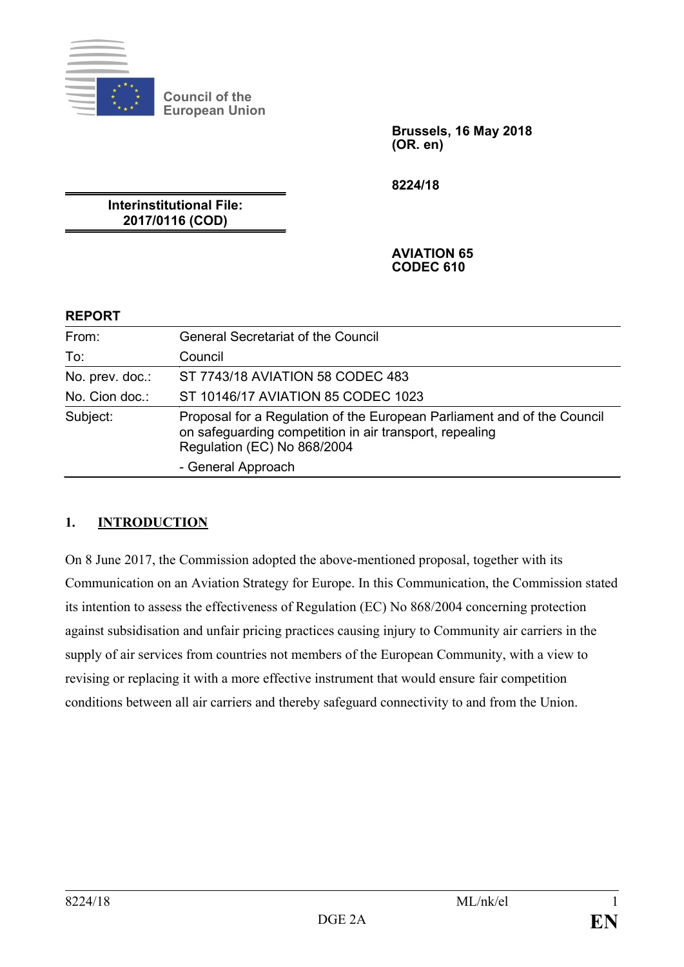

**Council of the European Union**

> **Brussels, 16 May 2018 (OR. en)**

**8224/18**

**Interinstitutional File: 2017/0116 (COD)**

> **AVIATION 65 CODEC 610**

# **REPORT**

| From:           | <b>General Secretariat of the Council</b>                                                                                                                         |
|-----------------|-------------------------------------------------------------------------------------------------------------------------------------------------------------------|
| To:             | Council                                                                                                                                                           |
| No. prev. doc.: | ST 7743/18 AVIATION 58 CODEC 483                                                                                                                                  |
| No. Cion doc.:  | ST 10146/17 AVIATION 85 CODEC 1023                                                                                                                                |
| Subject:        | Proposal for a Regulation of the European Parliament and of the Council<br>on safeguarding competition in air transport, repealing<br>Regulation (EC) No 868/2004 |
|                 | - General Approach                                                                                                                                                |

### **1. INTRODUCTION**

On 8 June 2017, the Commission adopted the above-mentioned proposal, together with its Communication on an Aviation Strategy for Europe. In this Communication, the Commission stated its intention to assess the effectiveness of Regulation (EC) No 868/2004 concerning protection against subsidisation and unfair pricing practices causing injury to Community air carriers in the supply of air services from countries not members of the European Community, with a view to revising or replacing it with a more effective instrument that would ensure fair competition conditions between all air carriers and thereby safeguard connectivity to and from the Union.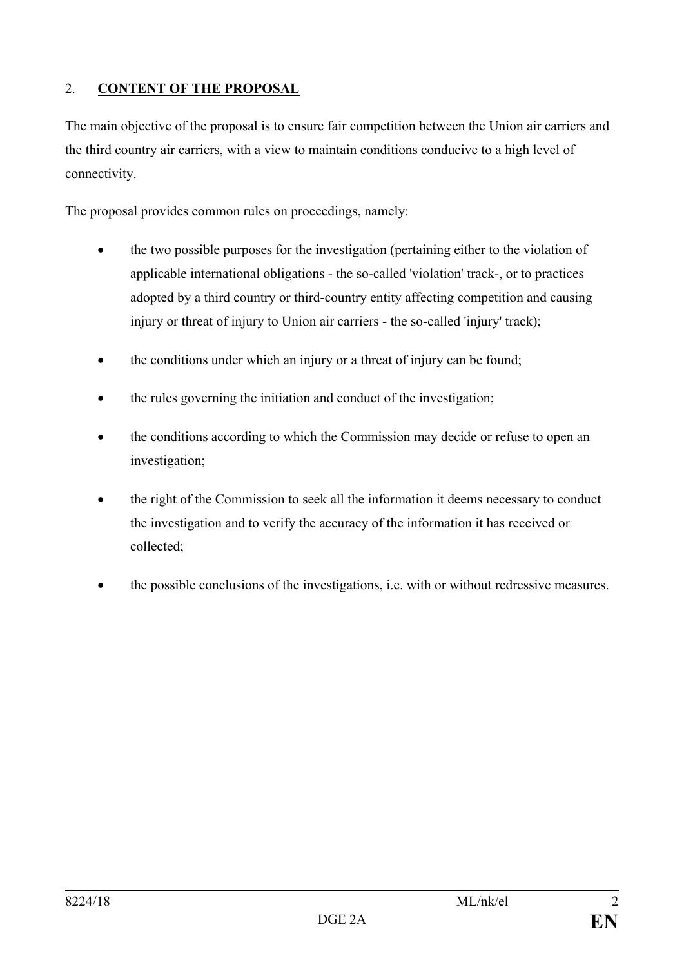# 2. **CONTENT OF THE PROPOSAL**

The main objective of the proposal is to ensure fair competition between the Union air carriers and the third country air carriers, with a view to maintain conditions conducive to a high level of connectivity.

The proposal provides common rules on proceedings, namely:

- the two possible purposes for the investigation (pertaining either to the violation of applicable international obligations - the so-called 'violation' track-, or to practices adopted by a third country or third-country entity affecting competition and causing injury or threat of injury to Union air carriers - the so-called 'injury' track);
- the conditions under which an injury or a threat of injury can be found;
- the rules governing the initiation and conduct of the investigation;
- the conditions according to which the Commission may decide or refuse to open an investigation;
- the right of the Commission to seek all the information it deems necessary to conduct the investigation and to verify the accuracy of the information it has received or collected;
- the possible conclusions of the investigations, i.e. with or without redressive measures.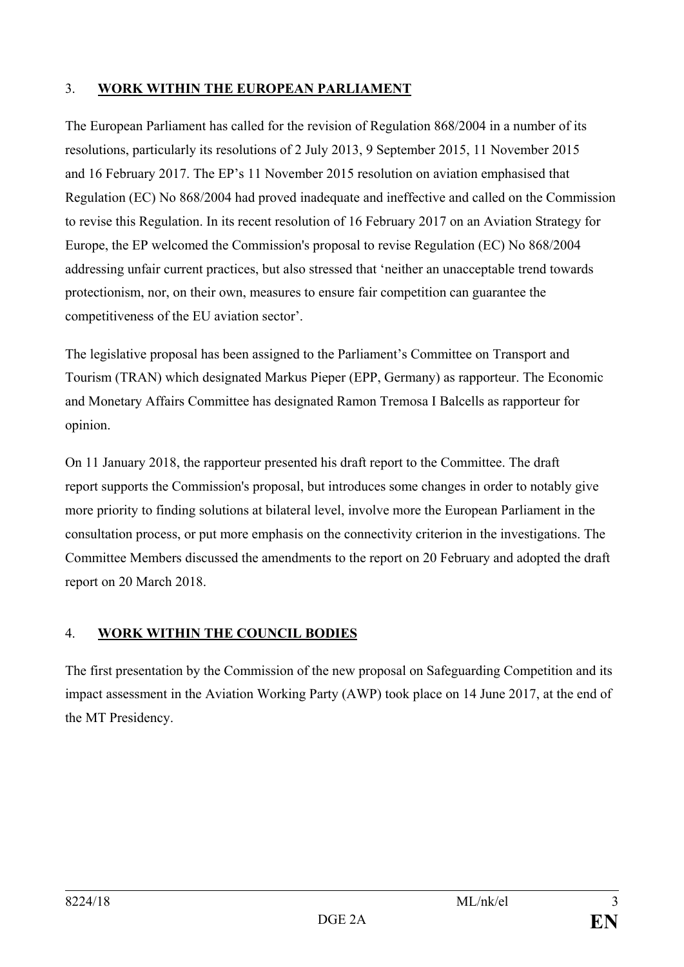# 3. **WORK WITHIN THE EUROPEAN PARLIAMENT**

The European Parliament has called for the revision of Regulation 868/2004 in a number of its resolutions, particularly its resolutions of 2 July 2013, 9 September 2015, 11 November 2015 and 16 February 2017. The EP's 11 November 2015 resolution on aviation emphasised that Regulation (EC) No 868/2004 had proved inadequate and ineffective and called on the Commission to revise this Regulation. In its recent resolution of 16 February 2017 on an Aviation Strategy for Europe, the EP welcomed the Commission's proposal to revise Regulation (EC) No 868/2004 addressing unfair current practices, but also stressed that 'neither an unacceptable trend towards protectionism, nor, on their own, measures to ensure fair competition can guarantee the competitiveness of the EU aviation sector'.

The legislative proposal has been assigned to the Parliament's Committee on Transport and Tourism (TRAN) which designated Markus Pieper (EPP, Germany) as rapporteur. The Economic and Monetary Affairs Committee has designated Ramon Tremosa I Balcells as rapporteur for opinion.

On 11 January 2018, the rapporteur presented his draft report to the Committee. The draft report supports the Commission's proposal, but introduces some changes in order to notably give more priority to finding solutions at bilateral level, involve more the European Parliament in the consultation process, or put more emphasis on the connectivity criterion in the investigations. The Committee Members discussed the amendments to the report on 20 February and adopted the draft report on 20 March 2018.

# 4. **WORK WITHIN THE COUNCIL BODIES**

The first presentation by the Commission of the new proposal on Safeguarding Competition and its impact assessment in the Aviation Working Party (AWP) took place on 14 June 2017, at the end of the MT Presidency.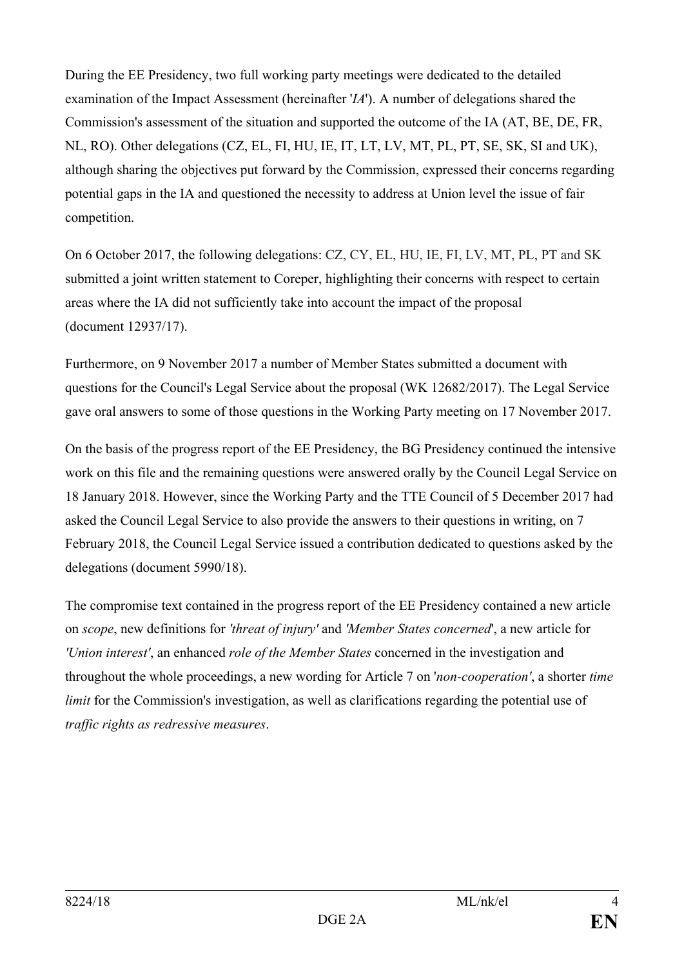During the EE Presidency, two full working party meetings were dedicated to the detailed examination of the Impact Assessment (hereinafter '*IA*'). A number of delegations shared the Commission's assessment of the situation and supported the outcome of the IA (AT, BE, DE, FR, NL, RO). Other delegations (CZ, EL, FI, HU, IE, IT, LT, LV, MT, PL, PT, SE, SK, SI and UK), although sharing the objectives put forward by the Commission, expressed their concerns regarding potential gaps in the IA and questioned the necessity to address at Union level the issue of fair competition.

On 6 October 2017, the following delegations: CZ, CY, EL, HU, IE, FI, LV, MT, PL, PT and SK submitted a joint written statement to Coreper, highlighting their concerns with respect to certain areas where the IA did not sufficiently take into account the impact of the proposal (document 12937/17).

Furthermore, on 9 November 2017 a number of Member States submitted a document with questions for the Council's Legal Service about the proposal (WK 12682/2017). The Legal Service gave oral answers to some of those questions in the Working Party meeting on 17 November 2017.

On the basis of the progress report of the EE Presidency, the BG Presidency continued the intensive work on this file and the remaining questions were answered orally by the Council Legal Service on 18 January 2018. However, since the Working Party and the TTE Council of 5 December 2017 had asked the Council Legal Service to also provide the answers to their questions in writing, on 7 February 2018, the Council Legal Service issued a contribution dedicated to questions asked by the delegations (document 5990/18).

The compromise text contained in the progress report of the EE Presidency contained a new article on *scope*, new definitions for *'threat of injury'* and *'Member States concerned*', a new article for *'Union interest'*, an enhanced *role of the Member States* concerned in the investigation and throughout the whole proceedings, a new wording for Article 7 on '*non-cooperation'*, a shorter *time limit* for the Commission's investigation, as well as clarifications regarding the potential use of *traffic rights as redressive measures*.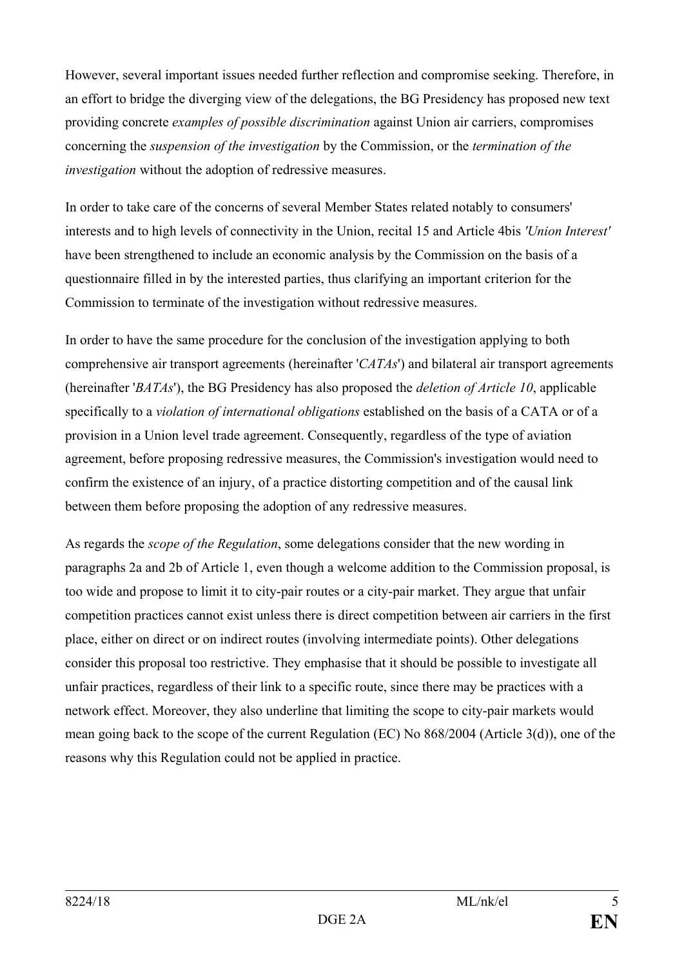However, several important issues needed further reflection and compromise seeking. Therefore, in an effort to bridge the diverging view of the delegations, the BG Presidency has proposed new text providing concrete *examples of possible discrimination* against Union air carriers, compromises concerning the *suspension of the investigation* by the Commission, or the *termination of the investigation* without the adoption of redressive measures.

In order to take care of the concerns of several Member States related notably to consumers' interests and to high levels of connectivity in the Union, recital 15 and Article 4bis *'Union Interest'* have been strengthened to include an economic analysis by the Commission on the basis of a questionnaire filled in by the interested parties, thus clarifying an important criterion for the Commission to terminate of the investigation without redressive measures.

In order to have the same procedure for the conclusion of the investigation applying to both comprehensive air transport agreements (hereinafter '*CATAs*') and bilateral air transport agreements (hereinafter '*BATAs*'), the BG Presidency has also proposed the *deletion of Article 10*, applicable specifically to a *violation of international obligations* established on the basis of a CATA or of a provision in a Union level trade agreement. Consequently, regardless of the type of aviation agreement, before proposing redressive measures, the Commission's investigation would need to confirm the existence of an injury, of a practice distorting competition and of the causal link between them before proposing the adoption of any redressive measures.

As regards the *scope of the Regulation*, some delegations consider that the new wording in paragraphs 2a and 2b of Article 1, even though a welcome addition to the Commission proposal, is too wide and propose to limit it to city-pair routes or a city-pair market. They argue that unfair competition practices cannot exist unless there is direct competition between air carriers in the first place, either on direct or on indirect routes (involving intermediate points). Other delegations consider this proposal too restrictive. They emphasise that it should be possible to investigate all unfair practices, regardless of their link to a specific route, since there may be practices with a network effect. Moreover, they also underline that limiting the scope to city-pair markets would mean going back to the scope of the current Regulation (EC) No 868/2004 (Article 3(d)), one of the reasons why this Regulation could not be applied in practice.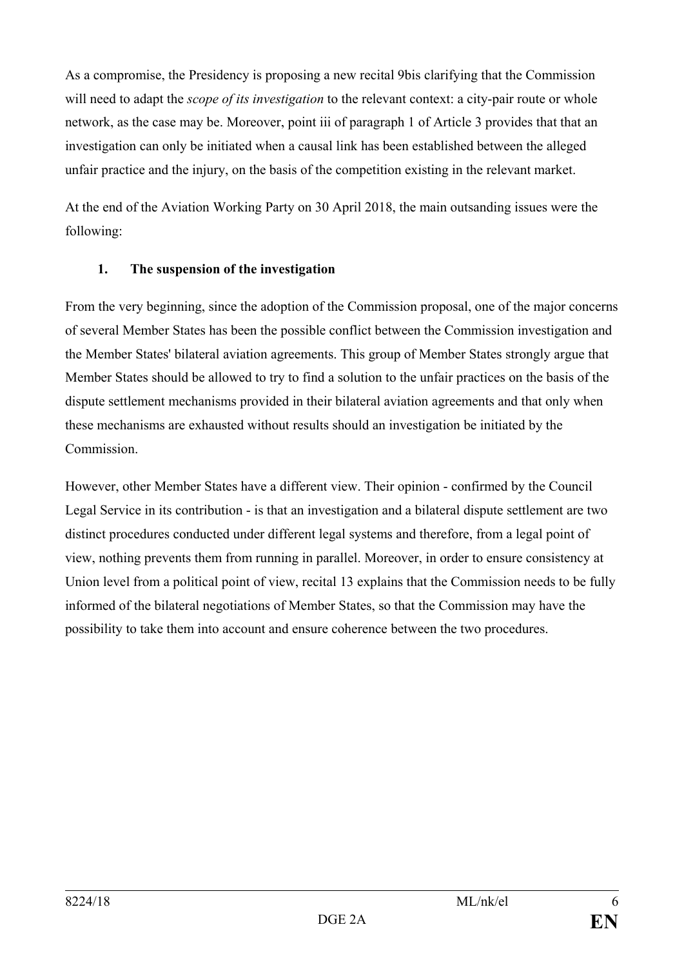As a compromise, the Presidency is proposing a new recital 9bis clarifying that the Commission will need to adapt the *scope of its investigation* to the relevant context: a city-pair route or whole network, as the case may be. Moreover, point iii of paragraph 1 of Article 3 provides that that an investigation can only be initiated when a causal link has been established between the alleged unfair practice and the injury, on the basis of the competition existing in the relevant market.

At the end of the Aviation Working Party on 30 April 2018, the main outsanding issues were the following:

# **1. The suspension of the investigation**

From the very beginning, since the adoption of the Commission proposal, one of the major concerns of several Member States has been the possible conflict between the Commission investigation and the Member States' bilateral aviation agreements. This group of Member States strongly argue that Member States should be allowed to try to find a solution to the unfair practices on the basis of the dispute settlement mechanisms provided in their bilateral aviation agreements and that only when these mechanisms are exhausted without results should an investigation be initiated by the Commission.

However, other Member States have a different view. Their opinion - confirmed by the Council Legal Service in its contribution - is that an investigation and a bilateral dispute settlement are two distinct procedures conducted under different legal systems and therefore, from a legal point of view, nothing prevents them from running in parallel. Moreover, in order to ensure consistency at Union level from a political point of view, recital 13 explains that the Commission needs to be fully informed of the bilateral negotiations of Member States, so that the Commission may have the possibility to take them into account and ensure coherence between the two procedures.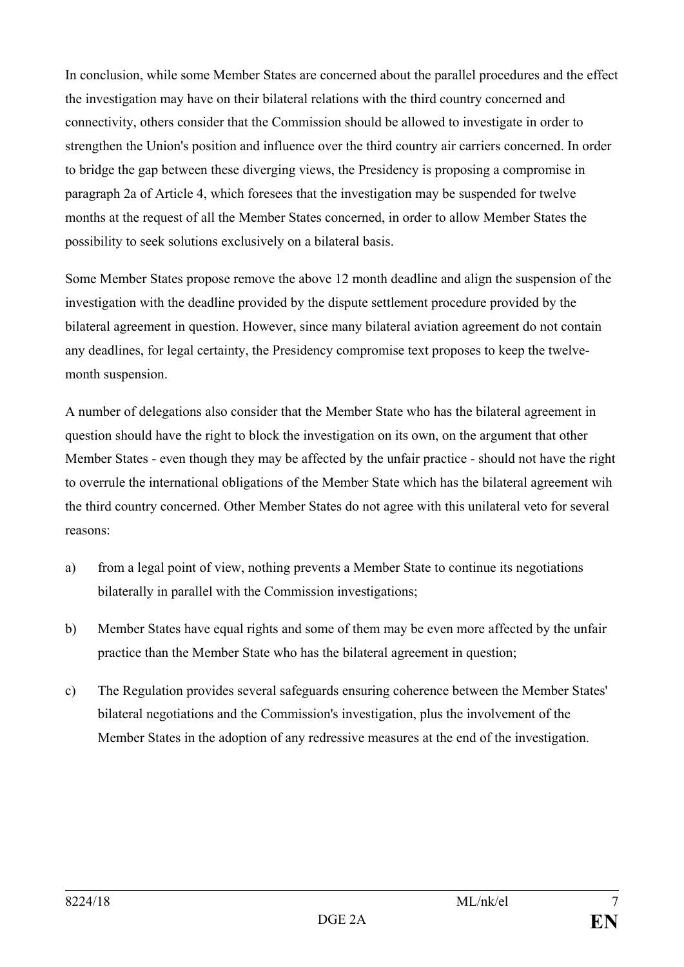In conclusion, while some Member States are concerned about the parallel procedures and the effect the investigation may have on their bilateral relations with the third country concerned and connectivity, others consider that the Commission should be allowed to investigate in order to strengthen the Union's position and influence over the third country air carriers concerned. In order to bridge the gap between these diverging views, the Presidency is proposing a compromise in paragraph 2a of Article 4, which foresees that the investigation may be suspended for twelve months at the request of all the Member States concerned, in order to allow Member States the possibility to seek solutions exclusively on a bilateral basis.

Some Member States propose remove the above 12 month deadline and align the suspension of the investigation with the deadline provided by the dispute settlement procedure provided by the bilateral agreement in question. However, since many bilateral aviation agreement do not contain any deadlines, for legal certainty, the Presidency compromise text proposes to keep the twelvemonth suspension.

A number of delegations also consider that the Member State who has the bilateral agreement in question should have the right to block the investigation on its own, on the argument that other Member States - even though they may be affected by the unfair practice - should not have the right to overrule the international obligations of the Member State which has the bilateral agreement wih the third country concerned. Other Member States do not agree with this unilateral veto for several reasons:

- a) from a legal point of view, nothing prevents a Member State to continue its negotiations bilaterally in parallel with the Commission investigations;
- b) Member States have equal rights and some of them may be even more affected by the unfair practice than the Member State who has the bilateral agreement in question;
- c) The Regulation provides several safeguards ensuring coherence between the Member States' bilateral negotiations and the Commission's investigation, plus the involvement of the Member States in the adoption of any redressive measures at the end of the investigation.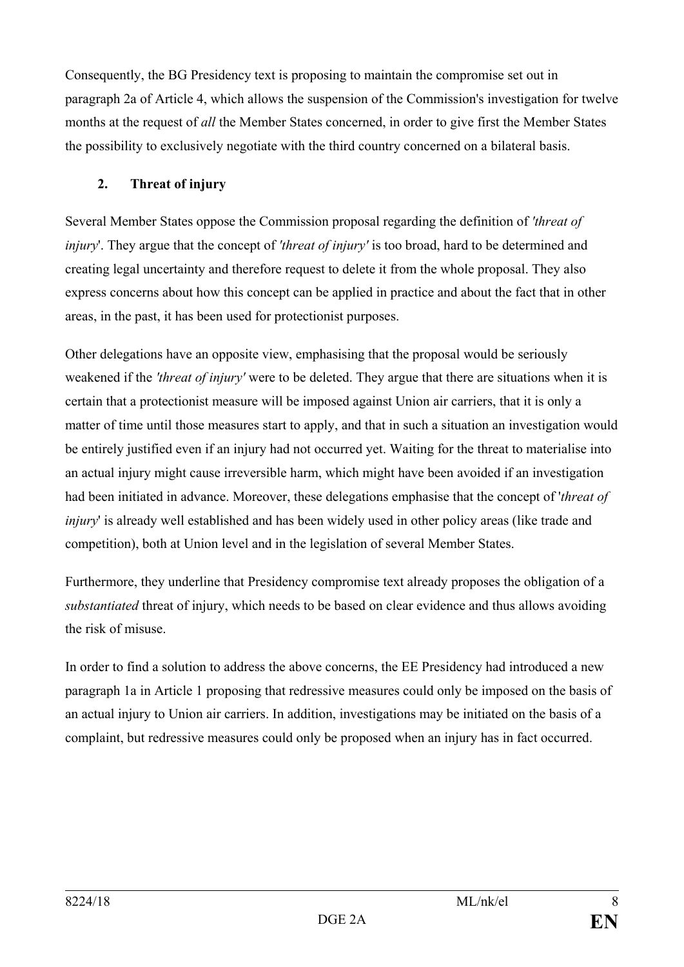Consequently, the BG Presidency text is proposing to maintain the compromise set out in paragraph 2a of Article 4, which allows the suspension of the Commission's investigation for twelve months at the request of *all* the Member States concerned, in order to give first the Member States the possibility to exclusively negotiate with the third country concerned on a bilateral basis.

# **2. Threat of injury**

Several Member States oppose the Commission proposal regarding the definition of *'threat of injury*'. They argue that the concept of *'threat of injury'* is too broad, hard to be determined and creating legal uncertainty and therefore request to delete it from the whole proposal. They also express concerns about how this concept can be applied in practice and about the fact that in other areas, in the past, it has been used for protectionist purposes.

Other delegations have an opposite view, emphasising that the proposal would be seriously weakened if the *'threat of injury'* were to be deleted. They argue that there are situations when it is certain that a protectionist measure will be imposed against Union air carriers, that it is only a matter of time until those measures start to apply, and that in such a situation an investigation would be entirely justified even if an injury had not occurred yet. Waiting for the threat to materialise into an actual injury might cause irreversible harm, which might have been avoided if an investigation had been initiated in advance. Moreover, these delegations emphasise that the concept of '*threat of injury*' is already well established and has been widely used in other policy areas (like trade and competition), both at Union level and in the legislation of several Member States.

Furthermore, they underline that Presidency compromise text already proposes the obligation of a *substantiated* threat of injury, which needs to be based on clear evidence and thus allows avoiding the risk of misuse.

In order to find a solution to address the above concerns, the EE Presidency had introduced a new paragraph 1a in Article 1 proposing that redressive measures could only be imposed on the basis of an actual injury to Union air carriers. In addition, investigations may be initiated on the basis of a complaint, but redressive measures could only be proposed when an injury has in fact occurred.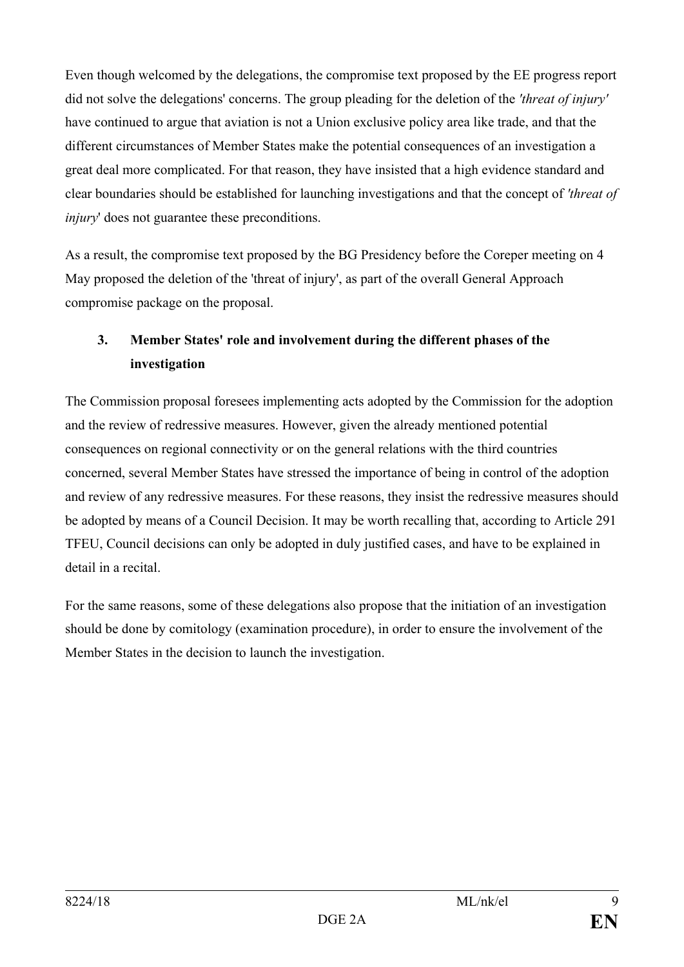Even though welcomed by the delegations, the compromise text proposed by the EE progress report did not solve the delegations' concerns. The group pleading for the deletion of the *'threat of injury'* have continued to argue that aviation is not a Union exclusive policy area like trade, and that the different circumstances of Member States make the potential consequences of an investigation a great deal more complicated. For that reason, they have insisted that a high evidence standard and clear boundaries should be established for launching investigations and that the concept of *'threat of injury*' does not guarantee these preconditions.

As a result, the compromise text proposed by the BG Presidency before the Coreper meeting on 4 May proposed the deletion of the 'threat of injury', as part of the overall General Approach compromise package on the proposal.

# **3. Member States' role and involvement during the different phases of the investigation**

The Commission proposal foresees implementing acts adopted by the Commission for the adoption and the review of redressive measures. However, given the already mentioned potential consequences on regional connectivity or on the general relations with the third countries concerned, several Member States have stressed the importance of being in control of the adoption and review of any redressive measures. For these reasons, they insist the redressive measures should be adopted by means of a Council Decision. It may be worth recalling that, according to Article 291 TFEU, Council decisions can only be adopted in duly justified cases, and have to be explained in detail in a recital.

For the same reasons, some of these delegations also propose that the initiation of an investigation should be done by comitology (examination procedure), in order to ensure the involvement of the Member States in the decision to launch the investigation.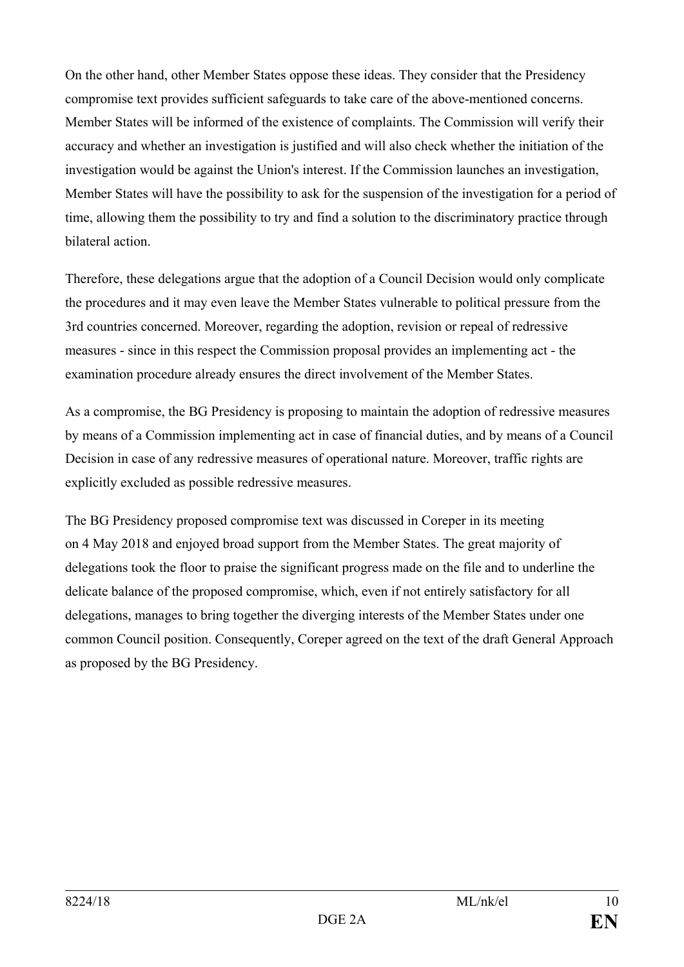On the other hand, other Member States oppose these ideas. They consider that the Presidency compromise text provides sufficient safeguards to take care of the above-mentioned concerns. Member States will be informed of the existence of complaints. The Commission will verify their accuracy and whether an investigation is justified and will also check whether the initiation of the investigation would be against the Union's interest. If the Commission launches an investigation, Member States will have the possibility to ask for the suspension of the investigation for a period of time, allowing them the possibility to try and find a solution to the discriminatory practice through bilateral action.

Therefore, these delegations argue that the adoption of a Council Decision would only complicate the procedures and it may even leave the Member States vulnerable to political pressure from the 3rd countries concerned. Moreover, regarding the adoption, revision or repeal of redressive measures - since in this respect the Commission proposal provides an implementing act - the examination procedure already ensures the direct involvement of the Member States.

As a compromise, the BG Presidency is proposing to maintain the adoption of redressive measures by means of a Commission implementing act in case of financial duties, and by means of a Council Decision in case of any redressive measures of operational nature. Moreover, traffic rights are explicitly excluded as possible redressive measures.

The BG Presidency proposed compromise text was discussed in Coreper in its meeting on 4 May 2018 and enjoyed broad support from the Member States. The great majority of delegations took the floor to praise the significant progress made on the file and to underline the delicate balance of the proposed compromise, which, even if not entirely satisfactory for all delegations, manages to bring together the diverging interests of the Member States under one common Council position. Consequently, Coreper agreed on the text of the draft General Approach as proposed by the BG Presidency.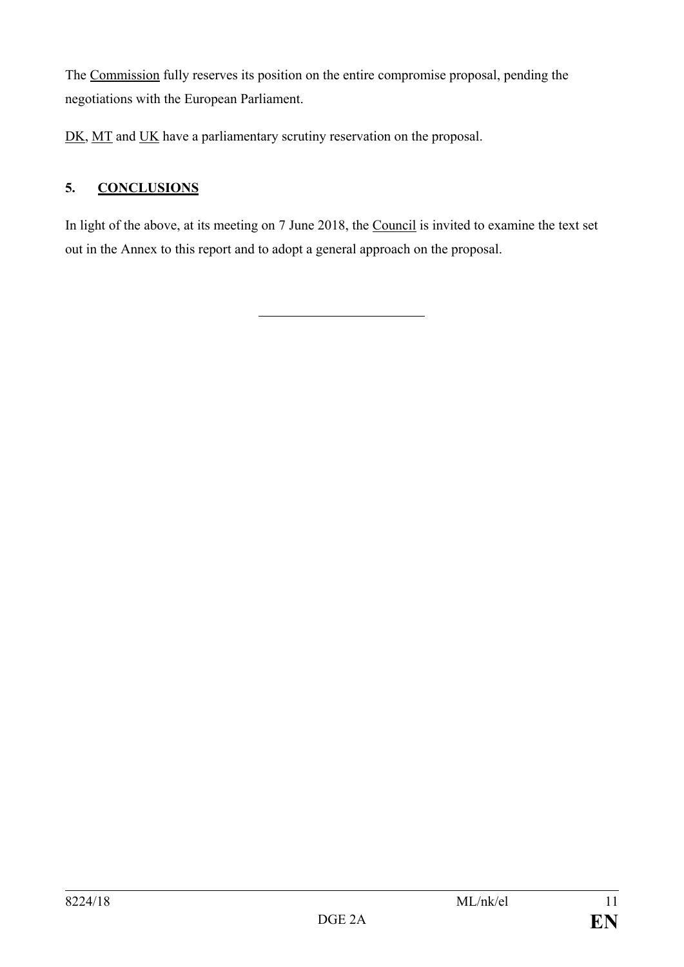The Commission fully reserves its position on the entire compromise proposal, pending the negotiations with the European Parliament.

DK, MT and UK have a parliamentary scrutiny reservation on the proposal.

# **5. CONCLUSIONS**

In light of the above, at its meeting on 7 June 2018, the Council is invited to examine the text set out in the Annex to this report and to adopt a general approach on the proposal.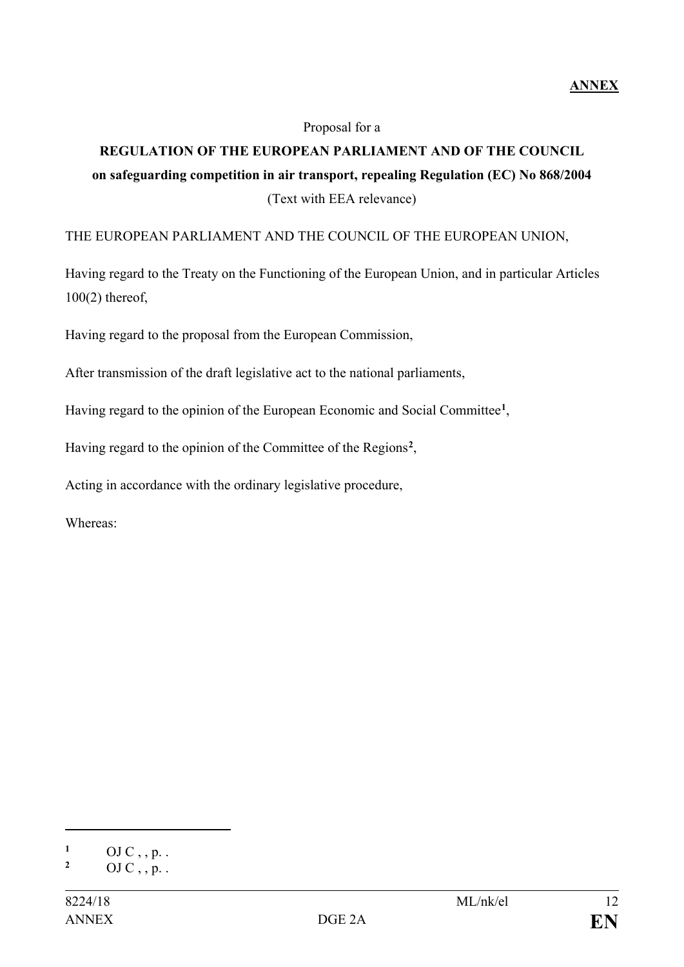#### Proposal for a

# **REGULATION OF THE EUROPEAN PARLIAMENT AND OF THE COUNCIL on safeguarding competition in air transport, repealing Regulation (EC) No 868/2004** (Text with EEA relevance)

## THE EUROPEAN PARLIAMENT AND THE COUNCIL OF THE EUROPEAN UNION,

Having regard to the Treaty on the Functioning of the European Union, and in particular Articles 100(2) thereof,

Having regard to the proposal from the European Commission,

After transmission of the draft legislative act to the national parliaments,

Having regard to the opinion of the European Economic and Social Committee**[1](#page-11-0)**,

Having regard to the opinion of the Committee of the Regions**[2](#page-11-1)**,

Acting in accordance with the ordinary legislative procedure,

Whereas:

<span id="page-11-0"></span> $\frac{1}{2}$  OJ C, , p. .

<span id="page-11-1"></span>**<sup>2</sup>** OJ C , , p. .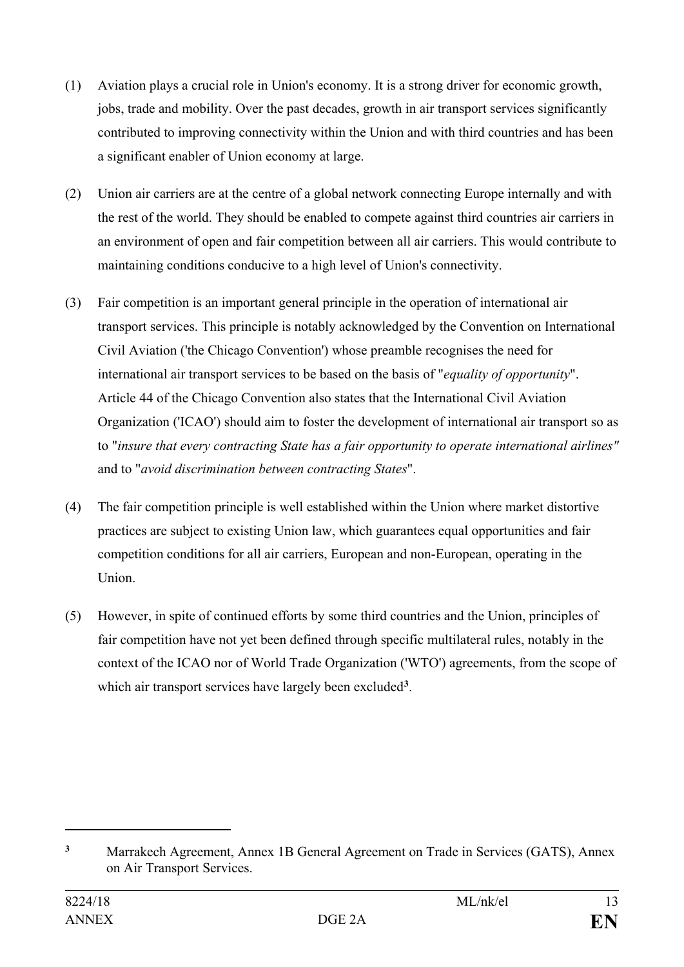- (1) Aviation plays a crucial role in Union's economy. It is a strong driver for economic growth, jobs, trade and mobility. Over the past decades, growth in air transport services significantly contributed to improving connectivity within the Union and with third countries and has been a significant enabler of Union economy at large.
- (2) Union air carriers are at the centre of a global network connecting Europe internally and with the rest of the world. They should be enabled to compete against third countries air carriers in an environment of open and fair competition between all air carriers. This would contribute to maintaining conditions conducive to a high level of Union's connectivity.
- (3) Fair competition is an important general principle in the operation of international air transport services. This principle is notably acknowledged by the Convention on International Civil Aviation ('the Chicago Convention') whose preamble recognises the need for international air transport services to be based on the basis of "*equality of opportunity*". Article 44 of the Chicago Convention also states that the International Civil Aviation Organization ('ICAO') should aim to foster the development of international air transport so as to "*insure that every contracting State has a fair opportunity to operate international airlines"* and to "*avoid discrimination between contracting States*".
- (4) The fair competition principle is well established within the Union where market distortive practices are subject to existing Union law, which guarantees equal opportunities and fair competition conditions for all air carriers, European and non-European, operating in the Union.
- (5) However, in spite of continued efforts by some third countries and the Union, principles of fair competition have not yet been defined through specific multilateral rules, notably in the context of the ICAO nor of World Trade Organization ('WTO') agreements, from the scope of which air transport services have largely been excluded**[3](#page-12-0)**.

<span id="page-12-0"></span>**<sup>3</sup>** Marrakech Agreement, Annex 1B General Agreement on Trade in Services (GATS), Annex on Air Transport Services.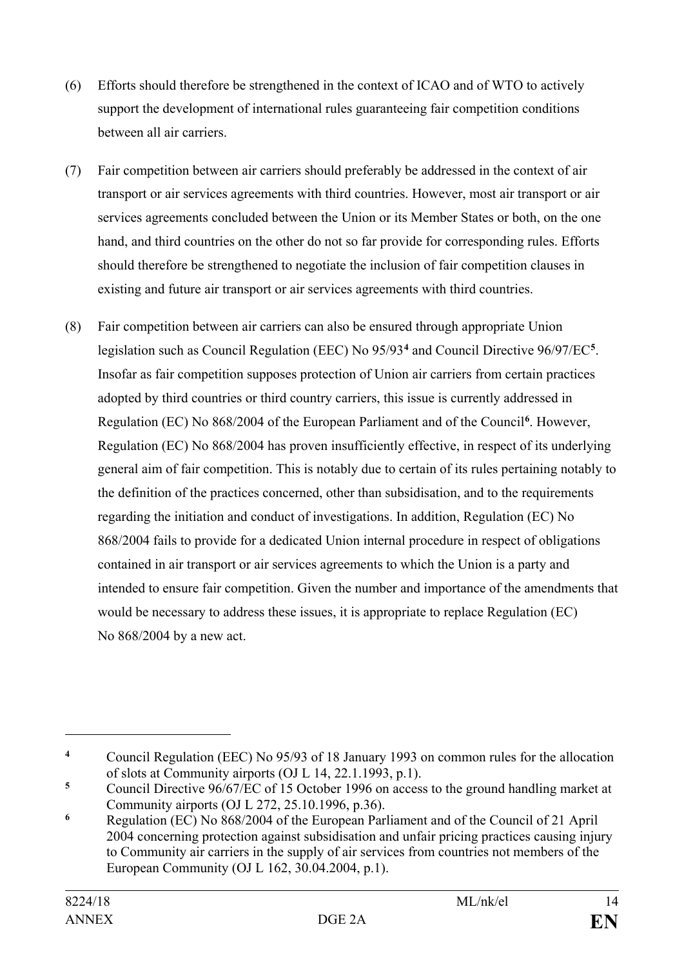- (6) Efforts should therefore be strengthened in the context of ICAO and of WTO to actively support the development of international rules guaranteeing fair competition conditions between all air carriers.
- (7) Fair competition between air carriers should preferably be addressed in the context of air transport or air services agreements with third countries. However, most air transport or air services agreements concluded between the Union or its Member States or both, on the one hand, and third countries on the other do not so far provide for corresponding rules. Efforts should therefore be strengthened to negotiate the inclusion of fair competition clauses in existing and future air transport or air services agreements with third countries.
- (8) Fair competition between air carriers can also be ensured through appropriate Union legislation such as Council Regulation (EEC) No 95/93**[4](#page-13-0)** and Council Directive 96/97/EC**[5](#page-13-1)**. Insofar as fair competition supposes protection of Union air carriers from certain practices adopted by third countries or third country carriers, this issue is currently addressed in Regulation (EC) No 868/2004 of the European Parliament and of the Council**[6](#page-13-2)**. However, Regulation (EC) No 868/2004 has proven insufficiently effective, in respect of its underlying general aim of fair competition. This is notably due to certain of its rules pertaining notably to the definition of the practices concerned, other than subsidisation, and to the requirements regarding the initiation and conduct of investigations. In addition, Regulation (EC) No 868/2004 fails to provide for a dedicated Union internal procedure in respect of obligations contained in air transport or air services agreements to which the Union is a party and intended to ensure fair competition. Given the number and importance of the amendments that would be necessary to address these issues, it is appropriate to replace Regulation (EC) No 868/2004 by a new act.

<span id="page-13-0"></span>**<sup>4</sup>** Council Regulation (EEC) No 95/93 of 18 January 1993 on common rules for the allocation of slots at Community airports (OJ L 14, 22.1.1993, p.1).

<span id="page-13-1"></span>**<sup>5</sup>** Council Directive 96/67/EC of 15 October 1996 on access to the ground handling market at Community airports (OJ L 272, 25.10.1996, p.36).

<span id="page-13-2"></span>**<sup>6</sup>** Regulation (EC) No 868/2004 of the European Parliament and of the Council of 21 April 2004 concerning protection against subsidisation and unfair pricing practices causing injury to Community air carriers in the supply of air services from countries not members of the European Community (OJ L 162, 30.04.2004, p.1).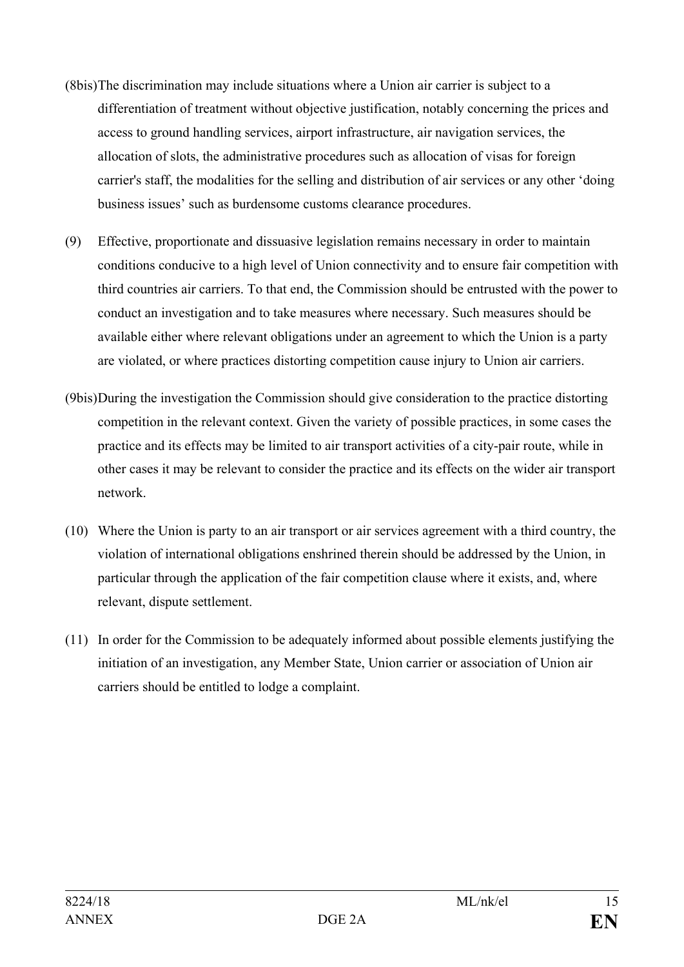- (8bis)The discrimination may include situations where a Union air carrier is subject to a differentiation of treatment without objective justification, notably concerning the prices and access to ground handling services, airport infrastructure, air navigation services, the allocation of slots, the administrative procedures such as allocation of visas for foreign carrier's staff, the modalities for the selling and distribution of air services or any other 'doing business issues' such as burdensome customs clearance procedures.
- (9) Effective, proportionate and dissuasive legislation remains necessary in order to maintain conditions conducive to a high level of Union connectivity and to ensure fair competition with third countries air carriers. To that end, the Commission should be entrusted with the power to conduct an investigation and to take measures where necessary. Such measures should be available either where relevant obligations under an agreement to which the Union is a party are violated, or where practices distorting competition cause injury to Union air carriers.
- (9bis)During the investigation the Commission should give consideration to the practice distorting competition in the relevant context. Given the variety of possible practices, in some cases the practice and its effects may be limited to air transport activities of a city-pair route, while in other cases it may be relevant to consider the practice and its effects on the wider air transport network.
- (10) Where the Union is party to an air transport or air services agreement with a third country, the violation of international obligations enshrined therein should be addressed by the Union, in particular through the application of the fair competition clause where it exists, and, where relevant, dispute settlement.
- (11) In order for the Commission to be adequately informed about possible elements justifying the initiation of an investigation, any Member State, Union carrier or association of Union air carriers should be entitled to lodge a complaint.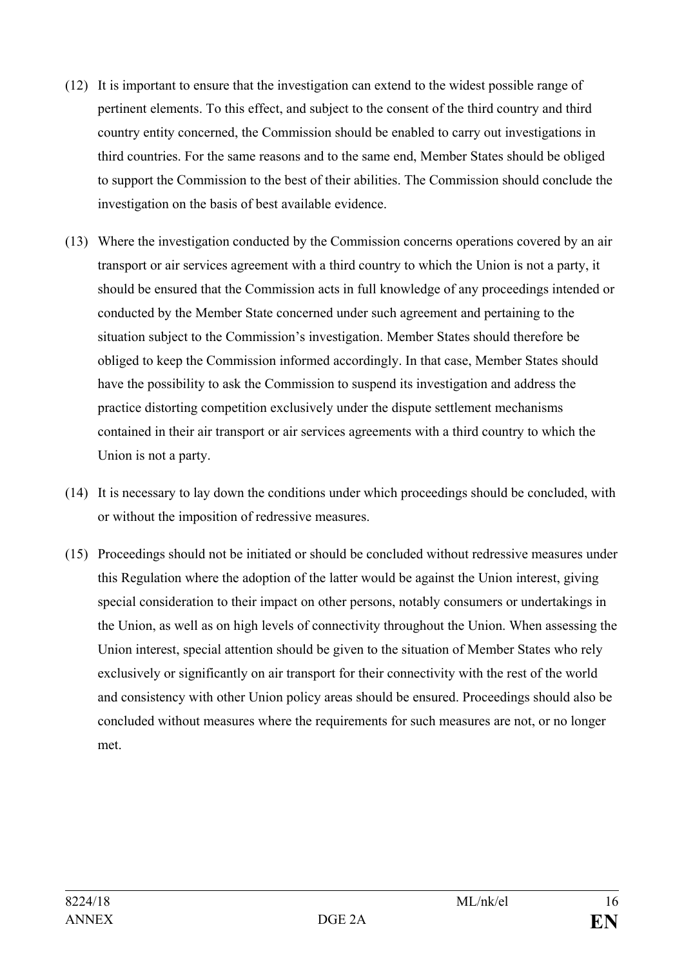- (12) It is important to ensure that the investigation can extend to the widest possible range of pertinent elements. To this effect, and subject to the consent of the third country and third country entity concerned, the Commission should be enabled to carry out investigations in third countries. For the same reasons and to the same end, Member States should be obliged to support the Commission to the best of their abilities. The Commission should conclude the investigation on the basis of best available evidence.
- (13) Where the investigation conducted by the Commission concerns operations covered by an air transport or air services agreement with a third country to which the Union is not a party, it should be ensured that the Commission acts in full knowledge of any proceedings intended or conducted by the Member State concerned under such agreement and pertaining to the situation subject to the Commission's investigation. Member States should therefore be obliged to keep the Commission informed accordingly. In that case, Member States should have the possibility to ask the Commission to suspend its investigation and address the practice distorting competition exclusively under the dispute settlement mechanisms contained in their air transport or air services agreements with a third country to which the Union is not a party.
- (14) It is necessary to lay down the conditions under which proceedings should be concluded, with or without the imposition of redressive measures.
- (15) Proceedings should not be initiated or should be concluded without redressive measures under this Regulation where the adoption of the latter would be against the Union interest, giving special consideration to their impact on other persons, notably consumers or undertakings in the Union, as well as on high levels of connectivity throughout the Union. When assessing the Union interest, special attention should be given to the situation of Member States who rely exclusively or significantly on air transport for their connectivity with the rest of the world and consistency with other Union policy areas should be ensured. Proceedings should also be concluded without measures where the requirements for such measures are not, or no longer met.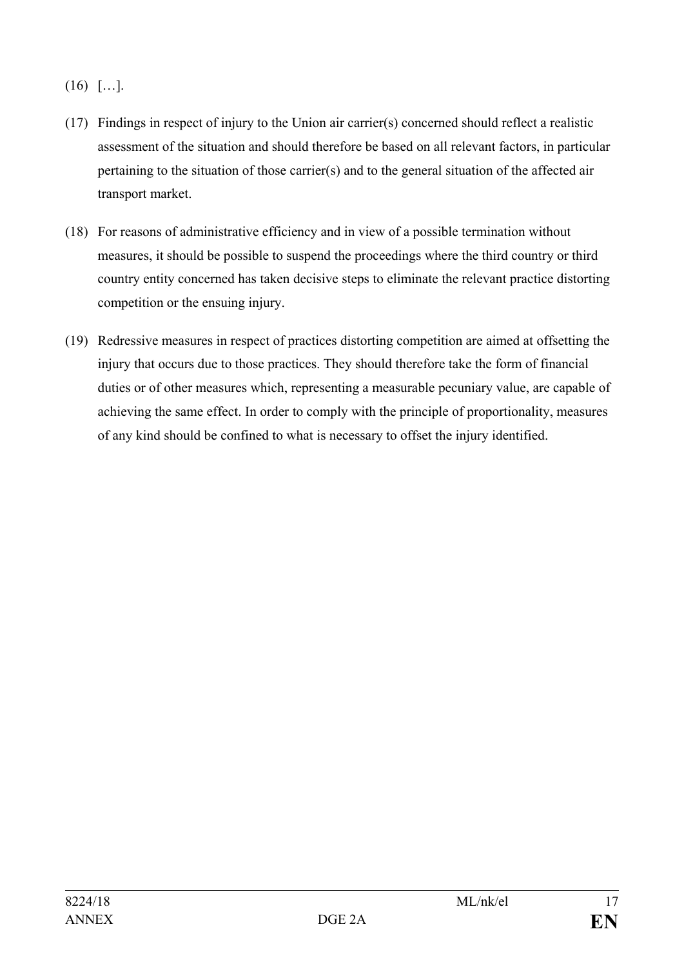$(16)$  [...].

- (17) Findings in respect of injury to the Union air carrier(s) concerned should reflect a realistic assessment of the situation and should therefore be based on all relevant factors, in particular pertaining to the situation of those carrier(s) and to the general situation of the affected air transport market.
- (18) For reasons of administrative efficiency and in view of a possible termination without measures, it should be possible to suspend the proceedings where the third country or third country entity concerned has taken decisive steps to eliminate the relevant practice distorting competition or the ensuing injury.
- (19) Redressive measures in respect of practices distorting competition are aimed at offsetting the injury that occurs due to those practices. They should therefore take the form of financial duties or of other measures which, representing a measurable pecuniary value, are capable of achieving the same effect. In order to comply with the principle of proportionality, measures of any kind should be confined to what is necessary to offset the injury identified.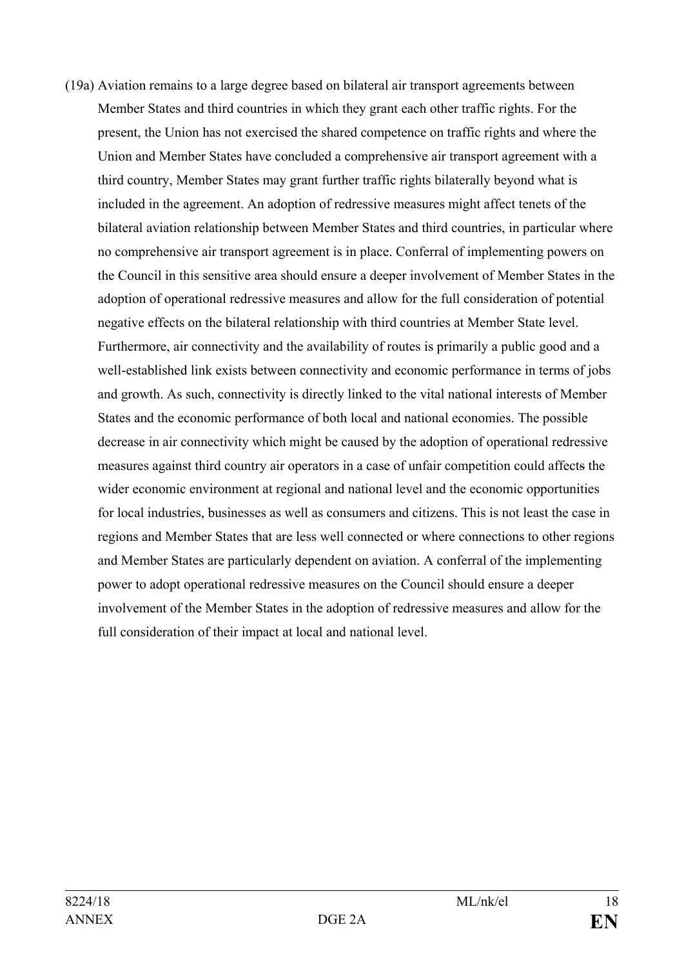(19a) Aviation remains to a large degree based on bilateral air transport agreements between Member States and third countries in which they grant each other traffic rights. For the present, the Union has not exercised the shared competence on traffic rights and where the Union and Member States have concluded a comprehensive air transport agreement with a third country, Member States may grant further traffic rights bilaterally beyond what is included in the agreement. An adoption of redressive measures might affect tenets of the bilateral aviation relationship between Member States and third countries, in particular where no comprehensive air transport agreement is in place. Conferral of implementing powers on the Council in this sensitive area should ensure a deeper involvement of Member States in the adoption of operational redressive measures and allow for the full consideration of potential negative effects on the bilateral relationship with third countries at Member State level. Furthermore, air connectivity and the availability of routes is primarily a public good and a well-established link exists between connectivity and economic performance in terms of jobs and growth. As such, connectivity is directly linked to the vital national interests of Member States and the economic performance of both local and national economies. The possible decrease in air connectivity which might be caused by the adoption of operational redressive measures against third country air operators in a case of unfair competition could affects the wider economic environment at regional and national level and the economic opportunities for local industries, businesses as well as consumers and citizens. This is not least the case in regions and Member States that are less well connected or where connections to other regions and Member States are particularly dependent on aviation. A conferral of the implementing power to adopt operational redressive measures on the Council should ensure a deeper involvement of the Member States in the adoption of redressive measures and allow for the full consideration of their impact at local and national level.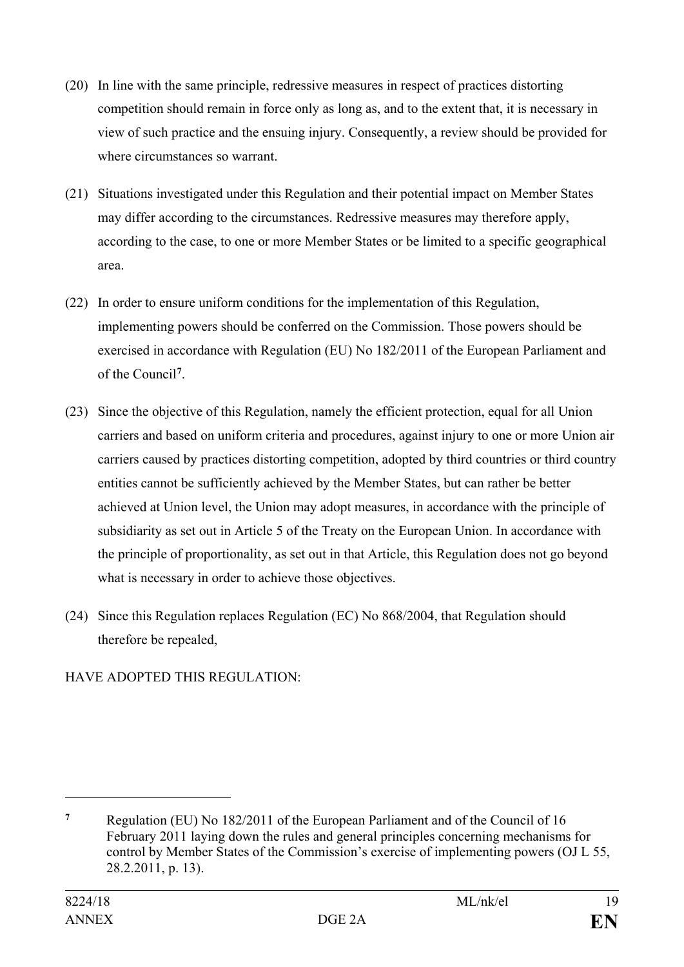- (20) In line with the same principle, redressive measures in respect of practices distorting competition should remain in force only as long as, and to the extent that, it is necessary in view of such practice and the ensuing injury. Consequently, a review should be provided for where circumstances so warrant.
- (21) Situations investigated under this Regulation and their potential impact on Member States may differ according to the circumstances. Redressive measures may therefore apply, according to the case, to one or more Member States or be limited to a specific geographical area.
- (22) In order to ensure uniform conditions for the implementation of this Regulation, implementing powers should be conferred on the Commission. Those powers should be exercised in accordance with Regulation (EU) No 182/2011 of the European Parliament and of the Council**[7](#page-18-0)**.
- (23) Since the objective of this Regulation, namely the efficient protection, equal for all Union carriers and based on uniform criteria and procedures, against injury to one or more Union air carriers caused by practices distorting competition, adopted by third countries or third country entities cannot be sufficiently achieved by the Member States, but can rather be better achieved at Union level, the Union may adopt measures, in accordance with the principle of subsidiarity as set out in Article 5 of the Treaty on the European Union. In accordance with the principle of proportionality, as set out in that Article, this Regulation does not go beyond what is necessary in order to achieve those objectives.
- (24) Since this Regulation replaces Regulation (EC) No 868/2004, that Regulation should therefore be repealed,

# HAVE ADOPTED THIS REGULATION:

<span id="page-18-0"></span>**<sup>7</sup>** Regulation (EU) No 182/2011 of the European Parliament and of the Council of 16 February 2011 laying down the rules and general principles concerning mechanisms for control by Member States of the Commission's exercise of implementing powers (OJ L 55, 28.2.2011, p. 13).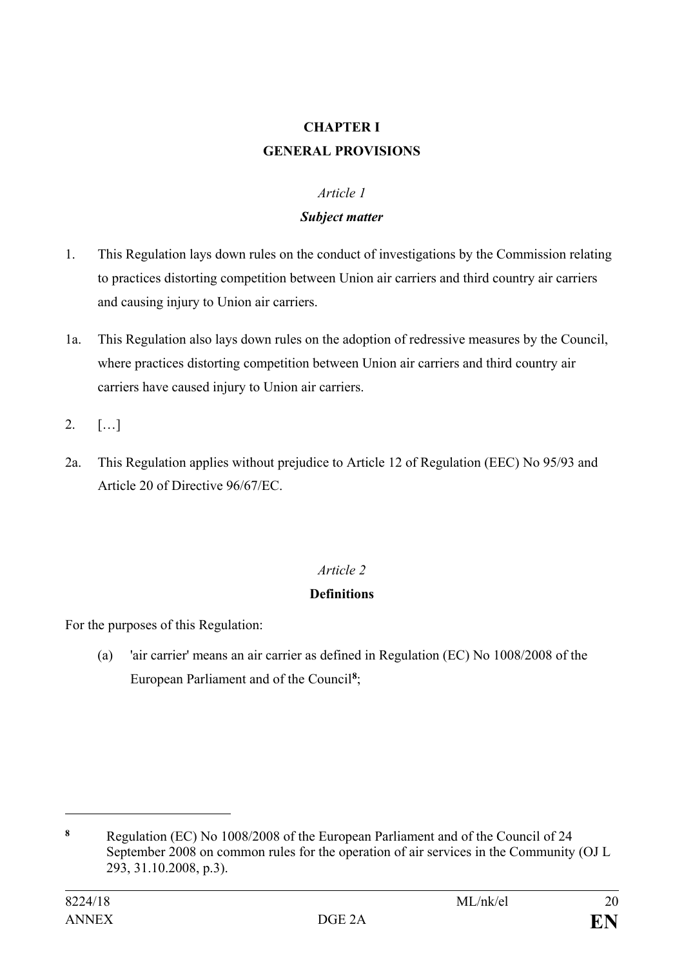# **CHAPTER I GENERAL PROVISIONS**

# *Article 1*

# *Subject matter*

- 1. This Regulation lays down rules on the conduct of investigations by the Commission relating to practices distorting competition between Union air carriers and third country air carriers and causing injury to Union air carriers.
- 1a. This Regulation also lays down rules on the adoption of redressive measures by the Council, where practices distorting competition between Union air carriers and third country air carriers have caused injury to Union air carriers.
- 2. […]
- 2a. This Regulation applies without prejudice to Article 12 of Regulation (EEC) No 95/93 and Article 20 of Directive 96/67/EC.

# *Article 2*

# **Definitions**

For the purposes of this Regulation:

(a) 'air carrier' means an air carrier as defined in Regulation (EC) No 1008/2008 of the European Parliament and of the Council**[8](#page-19-0)** ;

<span id="page-19-0"></span>**<sup>8</sup>** Regulation (EC) No 1008/2008 of the European Parliament and of the Council of 24 September 2008 on common rules for the operation of air services in the Community (OJ L 293, 31.10.2008, p.3).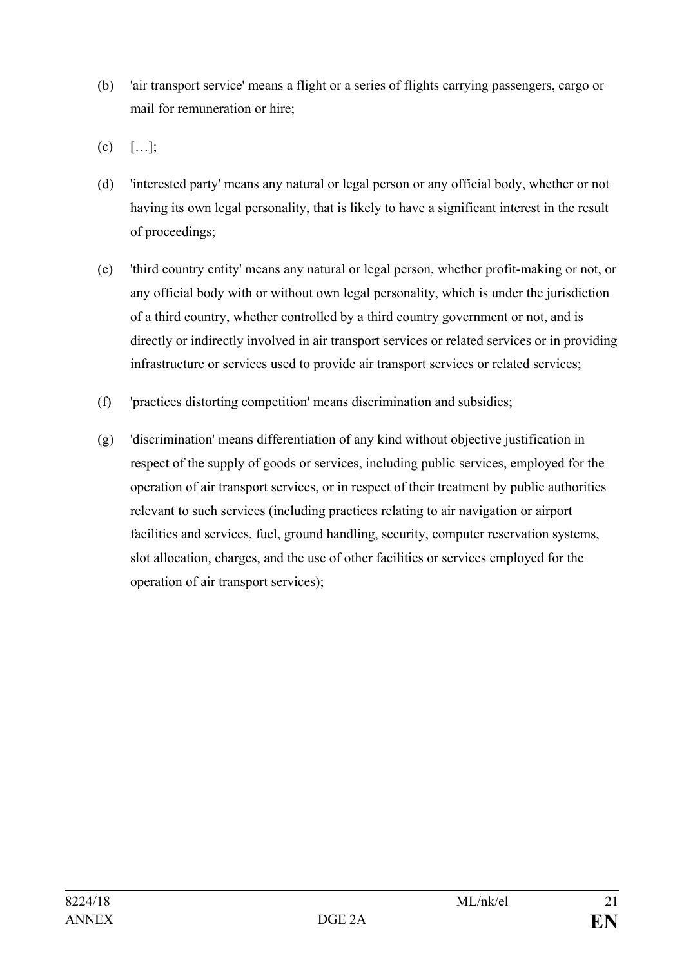- (b) 'air transport service' means a flight or a series of flights carrying passengers, cargo or mail for remuneration or hire;
- $(c)$  […];
- (d) 'interested party' means any natural or legal person or any official body, whether or not having its own legal personality, that is likely to have a significant interest in the result of proceedings;
- (e) 'third country entity' means any natural or legal person, whether profit-making or not, or any official body with or without own legal personality, which is under the jurisdiction of a third country, whether controlled by a third country government or not, and is directly or indirectly involved in air transport services or related services or in providing infrastructure or services used to provide air transport services or related services;
- (f) 'practices distorting competition' means discrimination and subsidies;
- (g) 'discrimination' means differentiation of any kind without objective justification in respect of the supply of goods or services, including public services, employed for the operation of air transport services, or in respect of their treatment by public authorities relevant to such services (including practices relating to air navigation or airport facilities and services, fuel, ground handling, security, computer reservation systems, slot allocation, charges, and the use of other facilities or services employed for the operation of air transport services);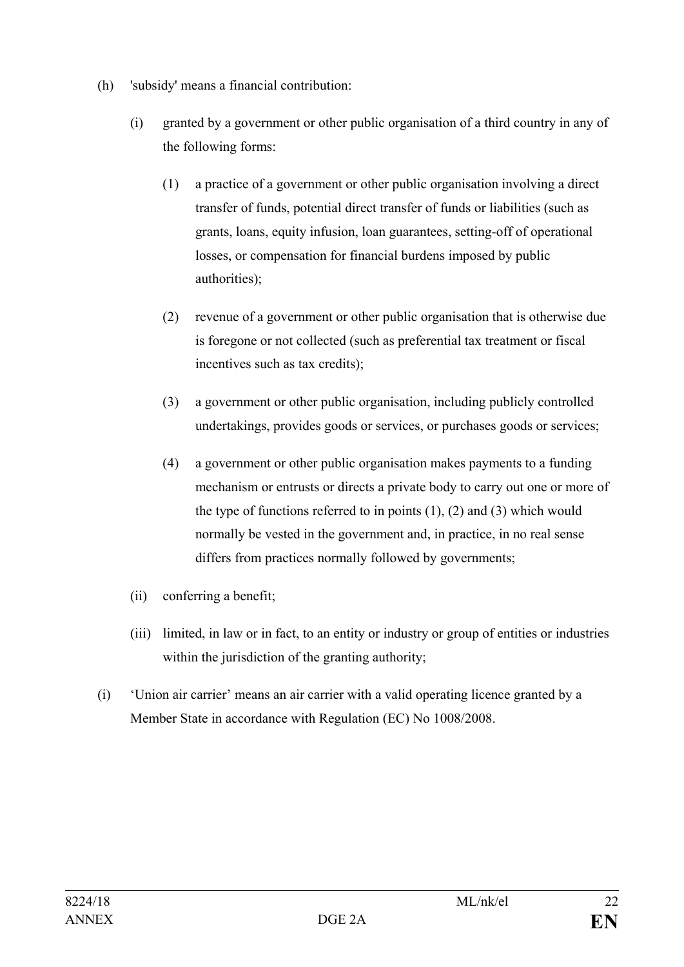- (h) 'subsidy' means a financial contribution:
	- (i) granted by a government or other public organisation of a third country in any of the following forms:
		- (1) a practice of a government or other public organisation involving a direct transfer of funds, potential direct transfer of funds or liabilities (such as grants, loans, equity infusion, loan guarantees, setting-off of operational losses, or compensation for financial burdens imposed by public authorities);
		- (2) revenue of a government or other public organisation that is otherwise due is foregone or not collected (such as preferential tax treatment or fiscal incentives such as tax credits);
		- (3) a government or other public organisation, including publicly controlled undertakings, provides goods or services, or purchases goods or services;
		- (4) a government or other public organisation makes payments to a funding mechanism or entrusts or directs a private body to carry out one or more of the type of functions referred to in points  $(1)$ ,  $(2)$  and  $(3)$  which would normally be vested in the government and, in practice, in no real sense differs from practices normally followed by governments;
	- (ii) conferring a benefit;
	- (iii) limited, in law or in fact, to an entity or industry or group of entities or industries within the jurisdiction of the granting authority;
- (i) 'Union air carrier' means an air carrier with a valid operating licence granted by a Member State in accordance with Regulation (EC) No 1008/2008.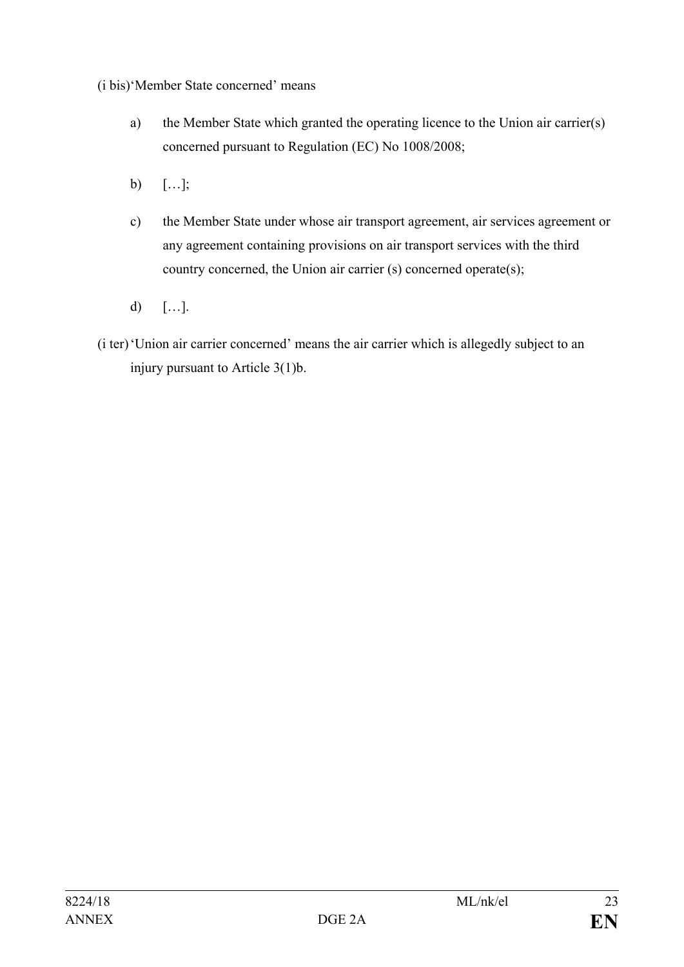(i bis)'Member State concerned' means

- a) the Member State which granted the operating licence to the Union air carrier(s) concerned pursuant to Regulation (EC) No 1008/2008;
- b) […];
- c) the Member State under whose air transport agreement, air services agreement or any agreement containing provisions on air transport services with the third country concerned, the Union air carrier (s) concerned operate(s);
- d)  $[\dots]$ .
- (i ter)'Union air carrier concerned' means the air carrier which is allegedly subject to an injury pursuant to Article 3(1)b.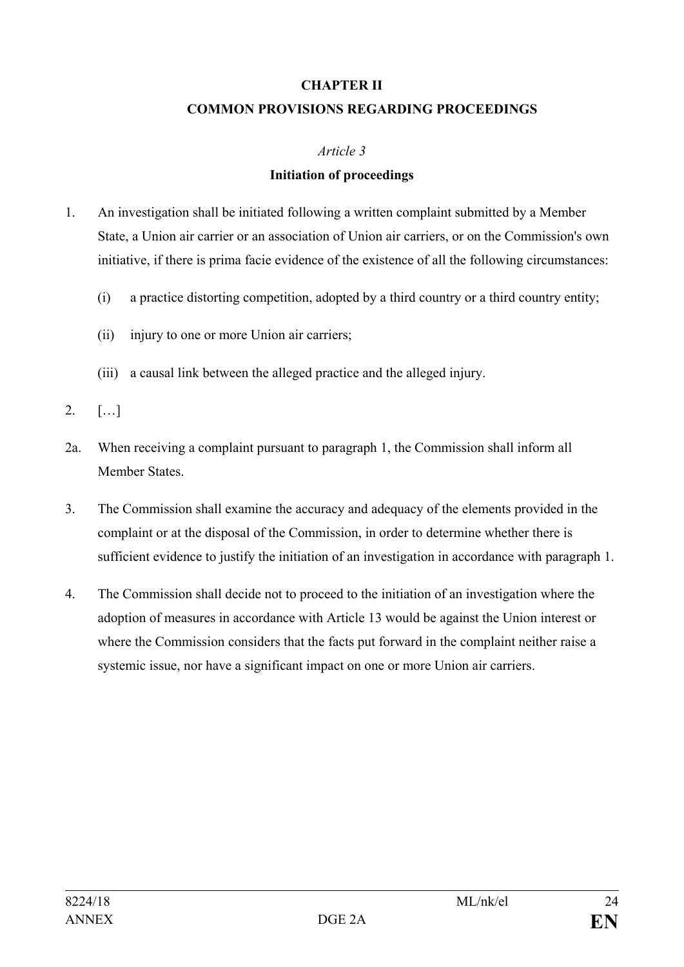### **CHAPTER II**

### **COMMON PROVISIONS REGARDING PROCEEDINGS**

### *Article 3*

### **Initiation of proceedings**

- 1. An investigation shall be initiated following a written complaint submitted by a Member State, a Union air carrier or an association of Union air carriers, or on the Commission's own initiative, if there is prima facie evidence of the existence of all the following circumstances:
	- (i) a practice distorting competition, adopted by a third country or a third country entity;
	- (ii) injury to one or more Union air carriers;
	- (iii) a causal link between the alleged practice and the alleged injury.
- 2. […]
- 2a. When receiving a complaint pursuant to paragraph 1, the Commission shall inform all Member States.
- 3. The Commission shall examine the accuracy and adequacy of the elements provided in the complaint or at the disposal of the Commission, in order to determine whether there is sufficient evidence to justify the initiation of an investigation in accordance with paragraph 1.
- 4. The Commission shall decide not to proceed to the initiation of an investigation where the adoption of measures in accordance with Article 13 would be against the Union interest or where the Commission considers that the facts put forward in the complaint neither raise a systemic issue, nor have a significant impact on one or more Union air carriers.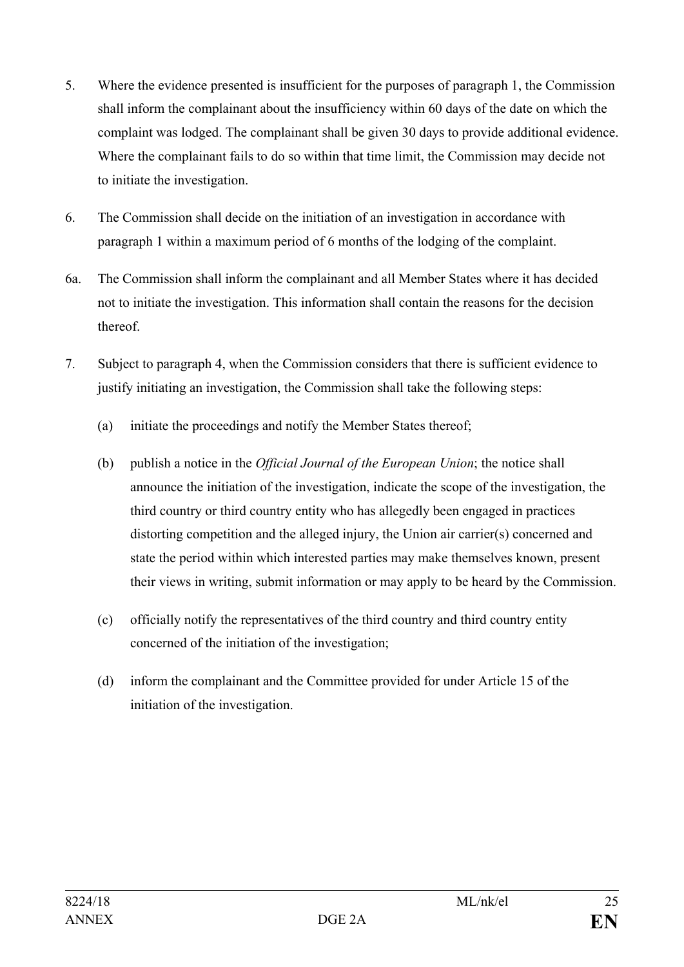- 5. Where the evidence presented is insufficient for the purposes of paragraph 1, the Commission shall inform the complainant about the insufficiency within 60 days of the date on which the complaint was lodged. The complainant shall be given 30 days to provide additional evidence. Where the complainant fails to do so within that time limit, the Commission may decide not to initiate the investigation.
- 6. The Commission shall decide on the initiation of an investigation in accordance with paragraph 1 within a maximum period of 6 months of the lodging of the complaint.
- 6a. The Commission shall inform the complainant and all Member States where it has decided not to initiate the investigation. This information shall contain the reasons for the decision thereof.
- 7. Subject to paragraph 4, when the Commission considers that there is sufficient evidence to justify initiating an investigation, the Commission shall take the following steps:
	- (a) initiate the proceedings and notify the Member States thereof;
	- (b) publish a notice in the *Official Journal of the European Union*; the notice shall announce the initiation of the investigation, indicate the scope of the investigation, the third country or third country entity who has allegedly been engaged in practices distorting competition and the alleged injury, the Union air carrier(s) concerned and state the period within which interested parties may make themselves known, present their views in writing, submit information or may apply to be heard by the Commission.
	- (c) officially notify the representatives of the third country and third country entity concerned of the initiation of the investigation;
	- (d) inform the complainant and the Committee provided for under Article 15 of the initiation of the investigation.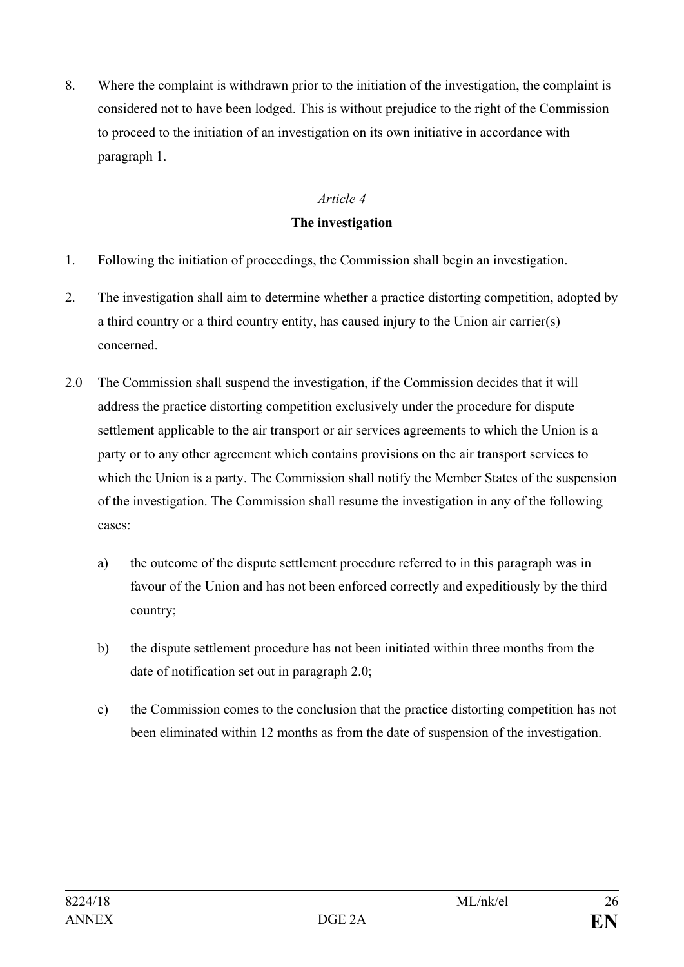8. Where the complaint is withdrawn prior to the initiation of the investigation, the complaint is considered not to have been lodged. This is without prejudice to the right of the Commission to proceed to the initiation of an investigation on its own initiative in accordance with paragraph 1.

## *Article 4*

## **The investigation**

- 1. Following the initiation of proceedings, the Commission shall begin an investigation.
- 2. The investigation shall aim to determine whether a practice distorting competition, adopted by a third country or a third country entity, has caused injury to the Union air carrier(s) concerned.
- 2.0 The Commission shall suspend the investigation, if the Commission decides that it will address the practice distorting competition exclusively under the procedure for dispute settlement applicable to the air transport or air services agreements to which the Union is a party or to any other agreement which contains provisions on the air transport services to which the Union is a party. The Commission shall notify the Member States of the suspension of the investigation. The Commission shall resume the investigation in any of the following cases:
	- a) the outcome of the dispute settlement procedure referred to in this paragraph was in favour of the Union and has not been enforced correctly and expeditiously by the third country;
	- b) the dispute settlement procedure has not been initiated within three months from the date of notification set out in paragraph 2.0;
	- c) the Commission comes to the conclusion that the practice distorting competition has not been eliminated within 12 months as from the date of suspension of the investigation.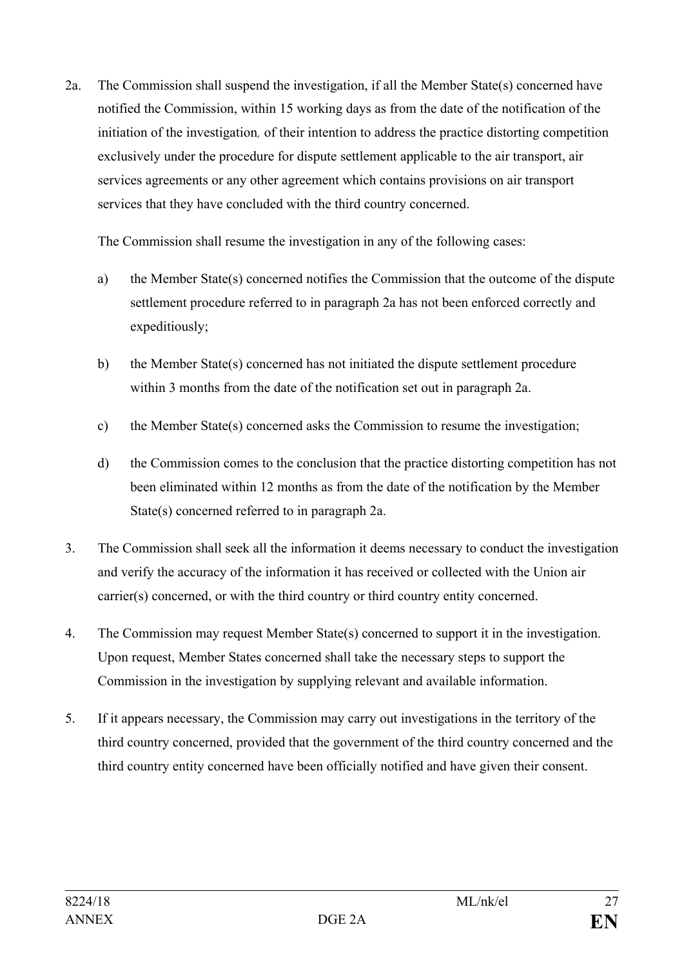2a. The Commission shall suspend the investigation, if all the Member State(s) concerned have notified the Commission, within 15 working days as from the date of the notification of the initiation of the investigation*,* of their intention to address the practice distorting competition exclusively under the procedure for dispute settlement applicable to the air transport, air services agreements or any other agreement which contains provisions on air transport services that they have concluded with the third country concerned.

The Commission shall resume the investigation in any of the following cases:

- a) the Member State(s) concerned notifies the Commission that the outcome of the dispute settlement procedure referred to in paragraph 2a has not been enforced correctly and expeditiously;
- b) the Member State(s) concerned has not initiated the dispute settlement procedure within 3 months from the date of the notification set out in paragraph 2a.
- c) the Member State(s) concerned asks the Commission to resume the investigation;
- d) the Commission comes to the conclusion that the practice distorting competition has not been eliminated within 12 months as from the date of the notification by the Member State(s) concerned referred to in paragraph 2a.
- 3. The Commission shall seek all the information it deems necessary to conduct the investigation and verify the accuracy of the information it has received or collected with the Union air carrier(s) concerned, or with the third country or third country entity concerned.
- 4. The Commission may request Member State(s) concerned to support it in the investigation. Upon request, Member States concerned shall take the necessary steps to support the Commission in the investigation by supplying relevant and available information.
- 5. If it appears necessary, the Commission may carry out investigations in the territory of the third country concerned, provided that the government of the third country concerned and the third country entity concerned have been officially notified and have given their consent.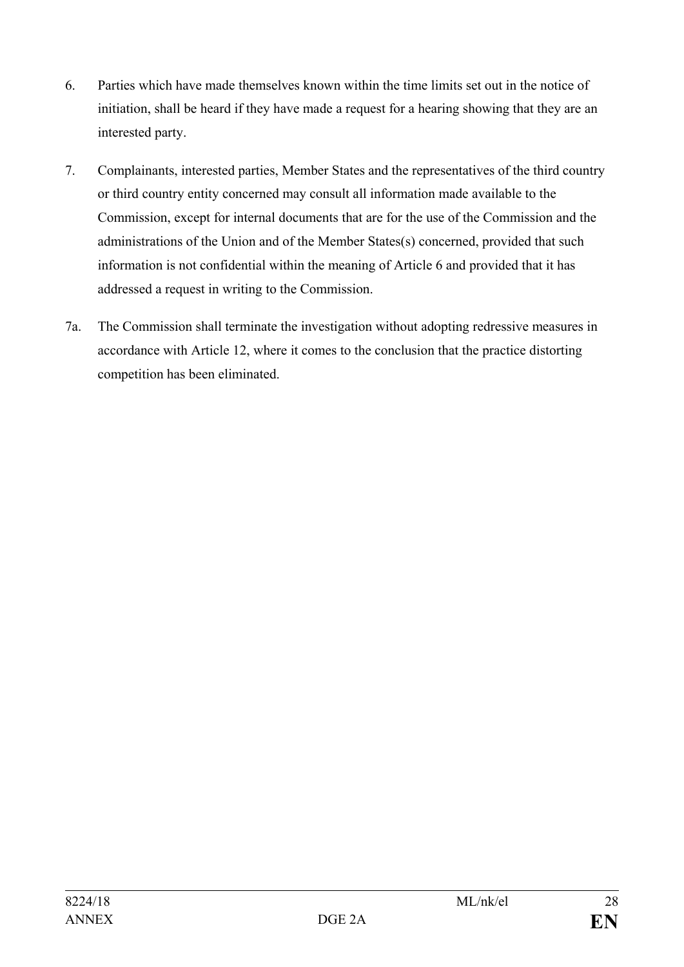- 6. Parties which have made themselves known within the time limits set out in the notice of initiation, shall be heard if they have made a request for a hearing showing that they are an interested party.
- 7. Complainants, interested parties, Member States and the representatives of the third country or third country entity concerned may consult all information made available to the Commission, except for internal documents that are for the use of the Commission and the administrations of the Union and of the Member States(s) concerned, provided that such information is not confidential within the meaning of Article 6 and provided that it has addressed a request in writing to the Commission.
- 7a. The Commission shall terminate the investigation without adopting redressive measures in accordance with Article 12, where it comes to the conclusion that the practice distorting competition has been eliminated.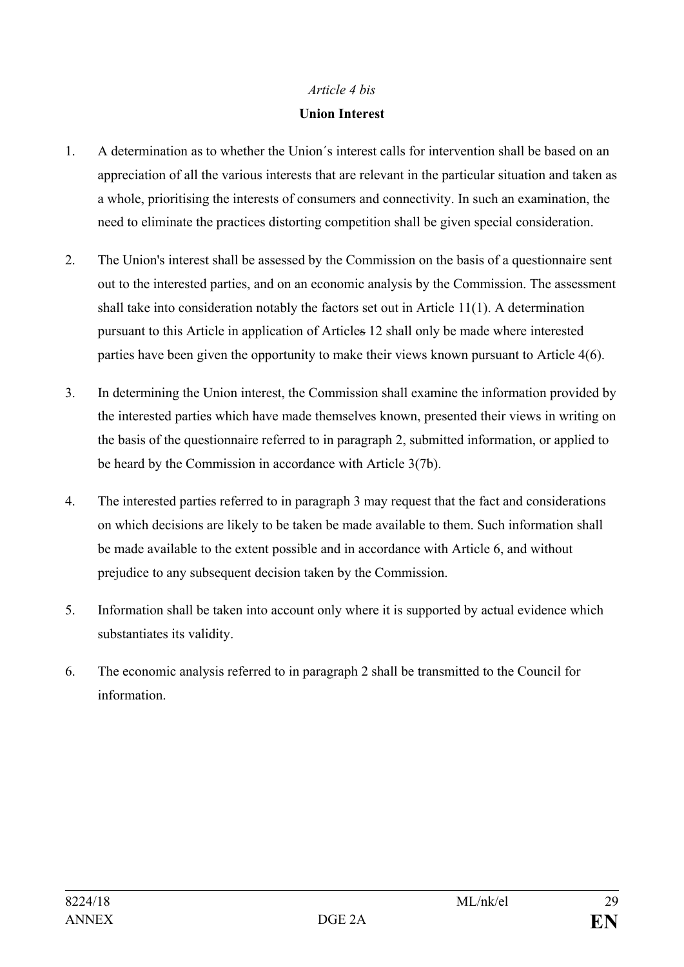### *Article 4 bis*

### **Union Interest**

- 1. A determination as to whether the Union´s interest calls for intervention shall be based on an appreciation of all the various interests that are relevant in the particular situation and taken as a whole, prioritising the interests of consumers and connectivity. In such an examination, the need to eliminate the practices distorting competition shall be given special consideration.
- 2. The Union's interest shall be assessed by the Commission on the basis of a questionnaire sent out to the interested parties, and on an economic analysis by the Commission. The assessment shall take into consideration notably the factors set out in Article 11(1). A determination pursuant to this Article in application of Articles 12 shall only be made where interested parties have been given the opportunity to make their views known pursuant to Article 4(6).
- 3. In determining the Union interest, the Commission shall examine the information provided by the interested parties which have made themselves known, presented their views in writing on the basis of the questionnaire referred to in paragraph 2, submitted information, or applied to be heard by the Commission in accordance with Article 3(7b).
- 4. The interested parties referred to in paragraph 3 may request that the fact and considerations on which decisions are likely to be taken be made available to them. Such information shall be made available to the extent possible and in accordance with Article 6, and without prejudice to any subsequent decision taken by the Commission.
- 5. Information shall be taken into account only where it is supported by actual evidence which substantiates its validity.
- 6. The economic analysis referred to in paragraph 2 shall be transmitted to the Council for information.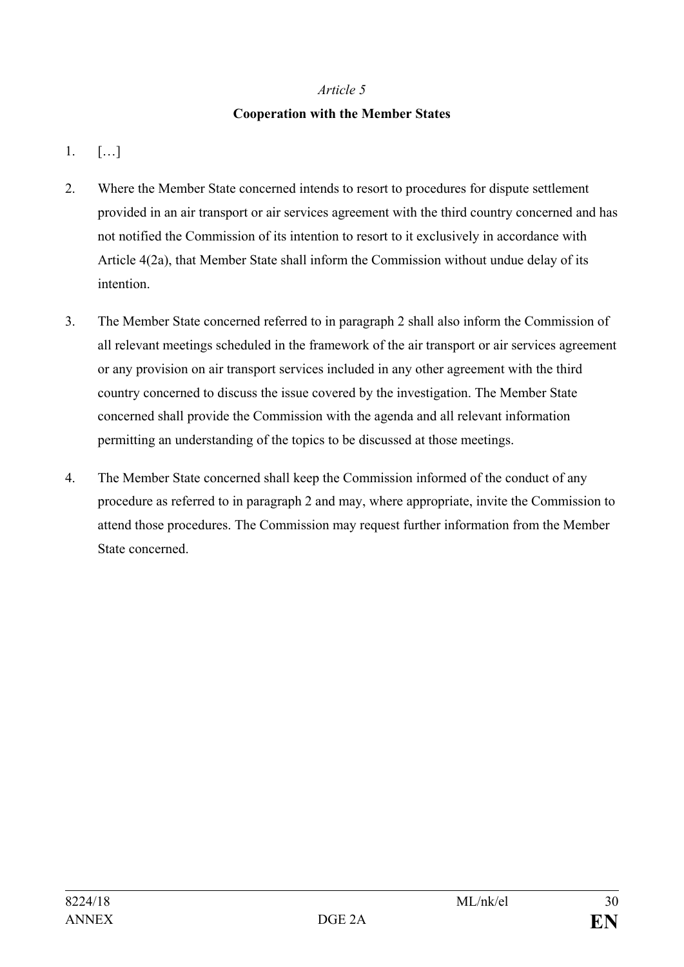# **Cooperation with the Member States**

- 1. […]
- 2. Where the Member State concerned intends to resort to procedures for dispute settlement provided in an air transport or air services agreement with the third country concerned and has not notified the Commission of its intention to resort to it exclusively in accordance with Article 4(2a), that Member State shall inform the Commission without undue delay of its intention.
- 3. The Member State concerned referred to in paragraph 2 shall also inform the Commission of all relevant meetings scheduled in the framework of the air transport or air services agreement or any provision on air transport services included in any other agreement with the third country concerned to discuss the issue covered by the investigation. The Member State concerned shall provide the Commission with the agenda and all relevant information permitting an understanding of the topics to be discussed at those meetings.
- 4. The Member State concerned shall keep the Commission informed of the conduct of any procedure as referred to in paragraph 2 and may, where appropriate, invite the Commission to attend those procedures. The Commission may request further information from the Member State concerned.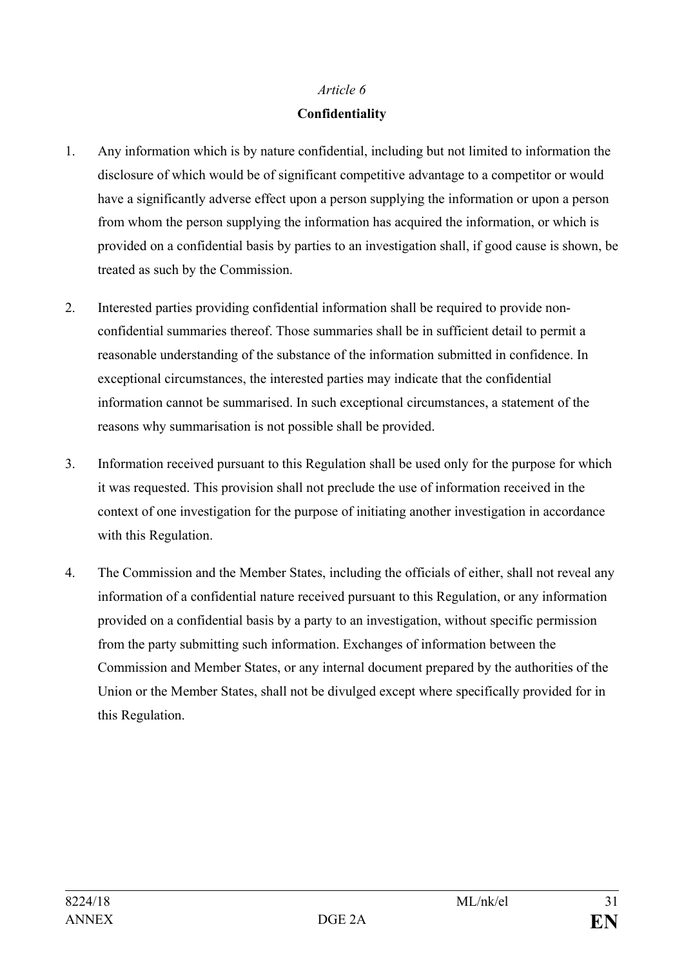## **Confidentiality**

- 1. Any information which is by nature confidential, including but not limited to information the disclosure of which would be of significant competitive advantage to a competitor or would have a significantly adverse effect upon a person supplying the information or upon a person from whom the person supplying the information has acquired the information, or which is provided on a confidential basis by parties to an investigation shall, if good cause is shown, be treated as such by the Commission.
- 2. Interested parties providing confidential information shall be required to provide nonconfidential summaries thereof. Those summaries shall be in sufficient detail to permit a reasonable understanding of the substance of the information submitted in confidence. In exceptional circumstances, the interested parties may indicate that the confidential information cannot be summarised. In such exceptional circumstances, a statement of the reasons why summarisation is not possible shall be provided.
- 3. Information received pursuant to this Regulation shall be used only for the purpose for which it was requested. This provision shall not preclude the use of information received in the context of one investigation for the purpose of initiating another investigation in accordance with this Regulation.
- 4. The Commission and the Member States, including the officials of either, shall not reveal any information of a confidential nature received pursuant to this Regulation, or any information provided on a confidential basis by a party to an investigation, without specific permission from the party submitting such information. Exchanges of information between the Commission and Member States, or any internal document prepared by the authorities of the Union or the Member States, shall not be divulged except where specifically provided for in this Regulation.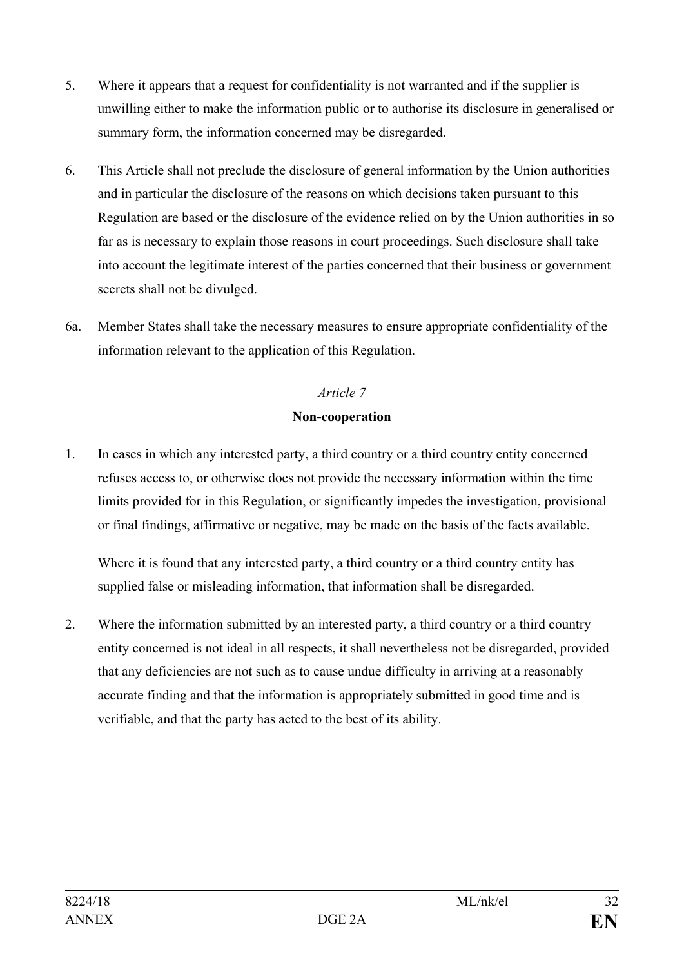- 5. Where it appears that a request for confidentiality is not warranted and if the supplier is unwilling either to make the information public or to authorise its disclosure in generalised or summary form, the information concerned may be disregarded.
- 6. This Article shall not preclude the disclosure of general information by the Union authorities and in particular the disclosure of the reasons on which decisions taken pursuant to this Regulation are based or the disclosure of the evidence relied on by the Union authorities in so far as is necessary to explain those reasons in court proceedings. Such disclosure shall take into account the legitimate interest of the parties concerned that their business or government secrets shall not be divulged.
- 6a. Member States shall take the necessary measures to ensure appropriate confidentiality of the information relevant to the application of this Regulation.

### **Non-cooperation**

1. In cases in which any interested party, a third country or a third country entity concerned refuses access to, or otherwise does not provide the necessary information within the time limits provided for in this Regulation, or significantly impedes the investigation, provisional or final findings, affirmative or negative, may be made on the basis of the facts available.

Where it is found that any interested party, a third country or a third country entity has supplied false or misleading information, that information shall be disregarded.

2. Where the information submitted by an interested party, a third country or a third country entity concerned is not ideal in all respects, it shall nevertheless not be disregarded, provided that any deficiencies are not such as to cause undue difficulty in arriving at a reasonably accurate finding and that the information is appropriately submitted in good time and is verifiable, and that the party has acted to the best of its ability.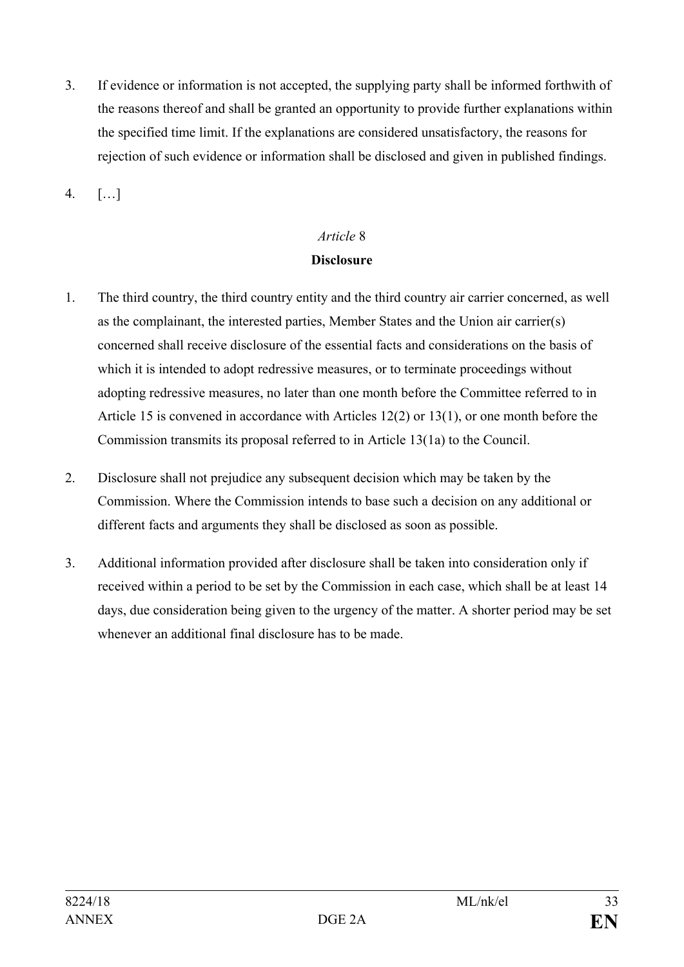- 3. If evidence or information is not accepted, the supplying party shall be informed forthwith of the reasons thereof and shall be granted an opportunity to provide further explanations within the specified time limit. If the explanations are considered unsatisfactory, the reasons for rejection of such evidence or information shall be disclosed and given in published findings.
- 4. […]

# **Disclosure**

- 1. The third country, the third country entity and the third country air carrier concerned, as well as the complainant, the interested parties, Member States and the Union air carrier(s) concerned shall receive disclosure of the essential facts and considerations on the basis of which it is intended to adopt redressive measures, or to terminate proceedings without adopting redressive measures, no later than one month before the Committee referred to in Article 15 is convened in accordance with Articles 12(2) or 13(1), or one month before the Commission transmits its proposal referred to in Article 13(1a) to the Council.
- 2. Disclosure shall not prejudice any subsequent decision which may be taken by the Commission. Where the Commission intends to base such a decision on any additional or different facts and arguments they shall be disclosed as soon as possible.
- 3. Additional information provided after disclosure shall be taken into consideration only if received within a period to be set by the Commission in each case, which shall be at least 14 days, due consideration being given to the urgency of the matter. A shorter period may be set whenever an additional final disclosure has to be made.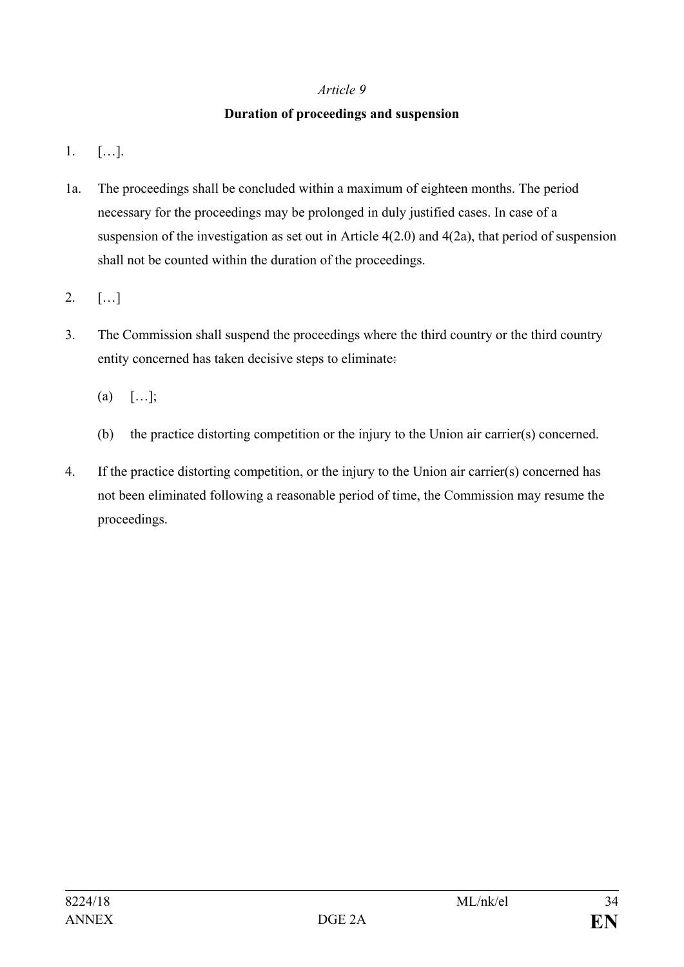## **Duration of proceedings and suspension**

- 1. […].
- 1a. The proceedings shall be concluded within a maximum of eighteen months. The period necessary for the proceedings may be prolonged in duly justified cases. In case of a suspension of the investigation as set out in Article 4(2.0) and 4(2a), that period of suspension shall not be counted within the duration of the proceedings.
- 2. […]
- 3. The Commission shall suspend the proceedings where the third country or the third country entity concerned has taken decisive steps to eliminate:
	- $(a)$   $[\ldots]$ ;
	- (b) the practice distorting competition or the injury to the Union air carrier(s) concerned.
- 4. If the practice distorting competition, or the injury to the Union air carrier(s) concerned has not been eliminated following a reasonable period of time, the Commission may resume the proceedings.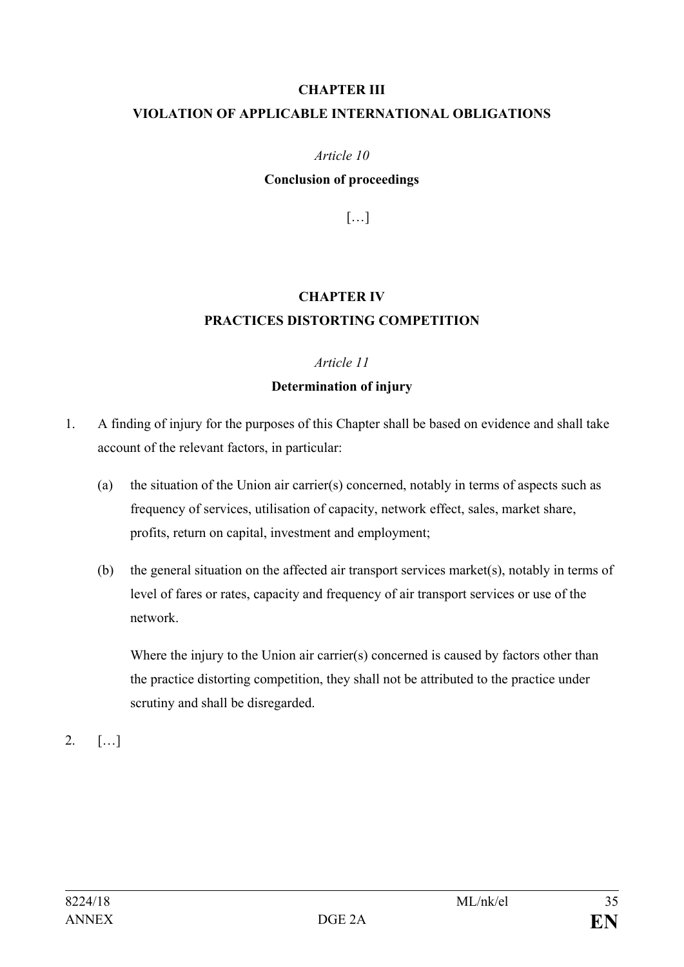#### **CHAPTER III**

## **VIOLATION OF APPLICABLE INTERNATIONAL OBLIGATIONS**

#### *Article 10*

### **Conclusion of proceedings**

[…]

# **CHAPTER IV PRACTICES DISTORTING COMPETITION**

#### *Article 11*

### **Determination of injury**

- 1. A finding of injury for the purposes of this Chapter shall be based on evidence and shall take account of the relevant factors, in particular:
	- (a) the situation of the Union air carrier(s) concerned, notably in terms of aspects such as frequency of services, utilisation of capacity, network effect, sales, market share, profits, return on capital, investment and employment;
	- (b) the general situation on the affected air transport services market(s), notably in terms of level of fares or rates, capacity and frequency of air transport services or use of the network.

Where the injury to the Union air carrier(s) concerned is caused by factors other than the practice distorting competition, they shall not be attributed to the practice under scrutiny and shall be disregarded.

2. […]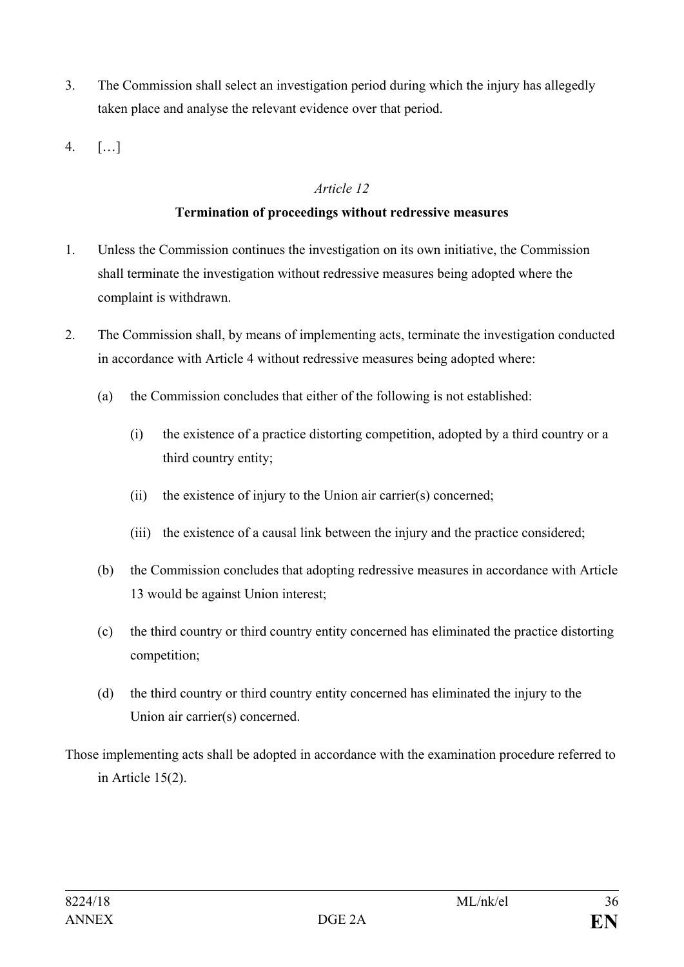- 3. The Commission shall select an investigation period during which the injury has allegedly taken place and analyse the relevant evidence over that period.
- 4. […]

# **Termination of proceedings without redressive measures**

- 1. Unless the Commission continues the investigation on its own initiative, the Commission shall terminate the investigation without redressive measures being adopted where the complaint is withdrawn.
- 2. The Commission shall, by means of implementing acts, terminate the investigation conducted in accordance with Article 4 without redressive measures being adopted where:
	- (a) the Commission concludes that either of the following is not established:
		- (i) the existence of a practice distorting competition, adopted by a third country or a third country entity;
		- (ii) the existence of injury to the Union air carrier(s) concerned;
		- (iii) the existence of a causal link between the injury and the practice considered;
	- (b) the Commission concludes that adopting redressive measures in accordance with Article 13 would be against Union interest;
	- (c) the third country or third country entity concerned has eliminated the practice distorting competition;
	- (d) the third country or third country entity concerned has eliminated the injury to the Union air carrier(s) concerned.

Those implementing acts shall be adopted in accordance with the examination procedure referred to in Article 15(2).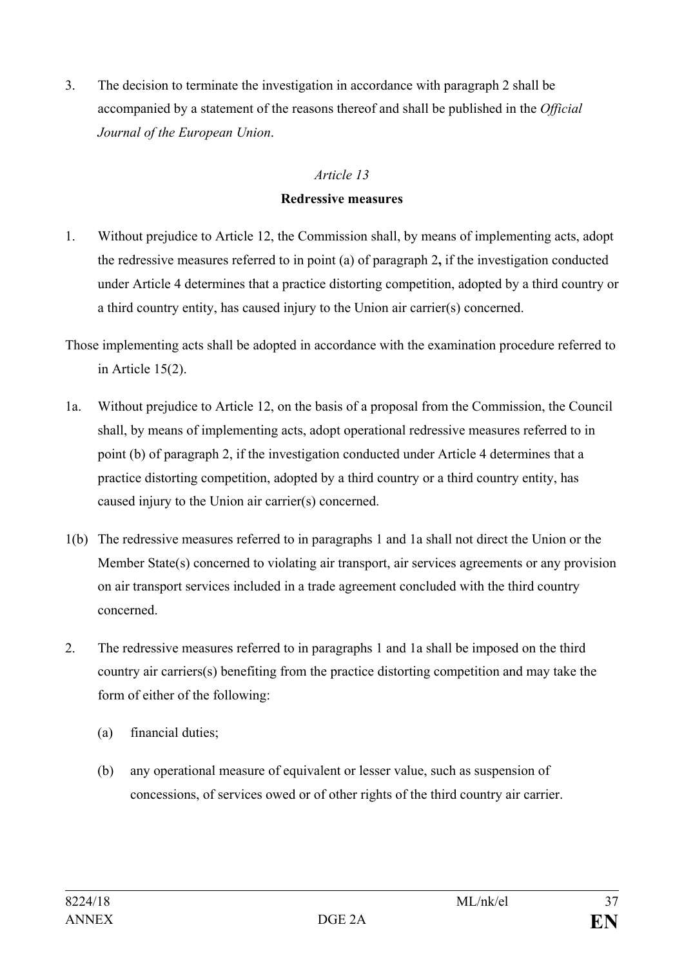3. The decision to terminate the investigation in accordance with paragraph 2 shall be accompanied by a statement of the reasons thereof and shall be published in the *Official Journal of the European Union*.

# *Article 13*

### **Redressive measures**

- 1. Without prejudice to Article 12, the Commission shall, by means of implementing acts, adopt the redressive measures referred to in point (a) of paragraph 2**,** if the investigation conducted under Article 4 determines that a practice distorting competition, adopted by a third country or a third country entity, has caused injury to the Union air carrier(s) concerned.
- Those implementing acts shall be adopted in accordance with the examination procedure referred to in Article 15(2).
- 1a. Without prejudice to Article 12, on the basis of a proposal from the Commission, the Council shall, by means of implementing acts, adopt operational redressive measures referred to in point (b) of paragraph 2, if the investigation conducted under Article 4 determines that a practice distorting competition, adopted by a third country or a third country entity, has caused injury to the Union air carrier(s) concerned.
- 1(b) The redressive measures referred to in paragraphs 1 and 1a shall not direct the Union or the Member State(s) concerned to violating air transport, air services agreements or any provision on air transport services included in a trade agreement concluded with the third country concerned.
- 2. The redressive measures referred to in paragraphs 1 and 1a shall be imposed on the third country air carriers(s) benefiting from the practice distorting competition and may take the form of either of the following:
	- (a) financial duties;
	- (b) any operational measure of equivalent or lesser value, such as suspension of concessions, of services owed or of other rights of the third country air carrier.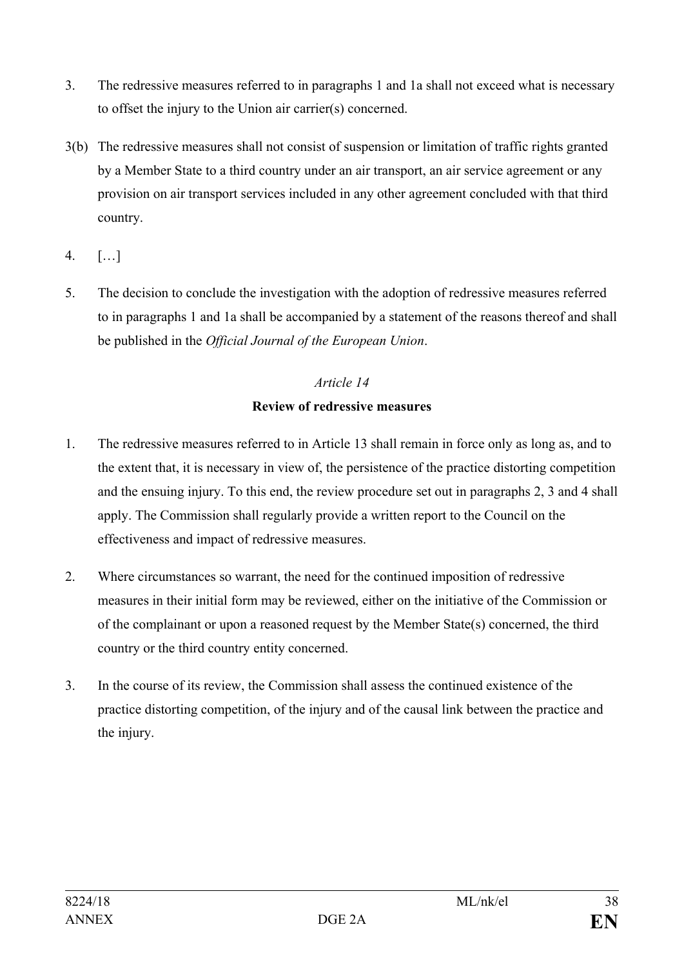- 3. The redressive measures referred to in paragraphs 1 and 1a shall not exceed what is necessary to offset the injury to the Union air carrier(s) concerned.
- 3(b) The redressive measures shall not consist of suspension or limitation of traffic rights granted by a Member State to a third country under an air transport, an air service agreement or any provision on air transport services included in any other agreement concluded with that third country.
- 4. […]
- 5. The decision to conclude the investigation with the adoption of redressive measures referred to in paragraphs 1 and 1a shall be accompanied by a statement of the reasons thereof and shall be published in the *Official Journal of the European Union*.

# *Article 14* **Review of redressive measures**

- 1. The redressive measures referred to in Article 13 shall remain in force only as long as, and to the extent that, it is necessary in view of, the persistence of the practice distorting competition and the ensuing injury. To this end, the review procedure set out in paragraphs 2, 3 and 4 shall apply. The Commission shall regularly provide a written report to the Council on the effectiveness and impact of redressive measures.
- 2. Where circumstances so warrant, the need for the continued imposition of redressive measures in their initial form may be reviewed, either on the initiative of the Commission or of the complainant or upon a reasoned request by the Member State(s) concerned, the third country or the third country entity concerned.
- 3. In the course of its review, the Commission shall assess the continued existence of the practice distorting competition, of the injury and of the causal link between the practice and the injury.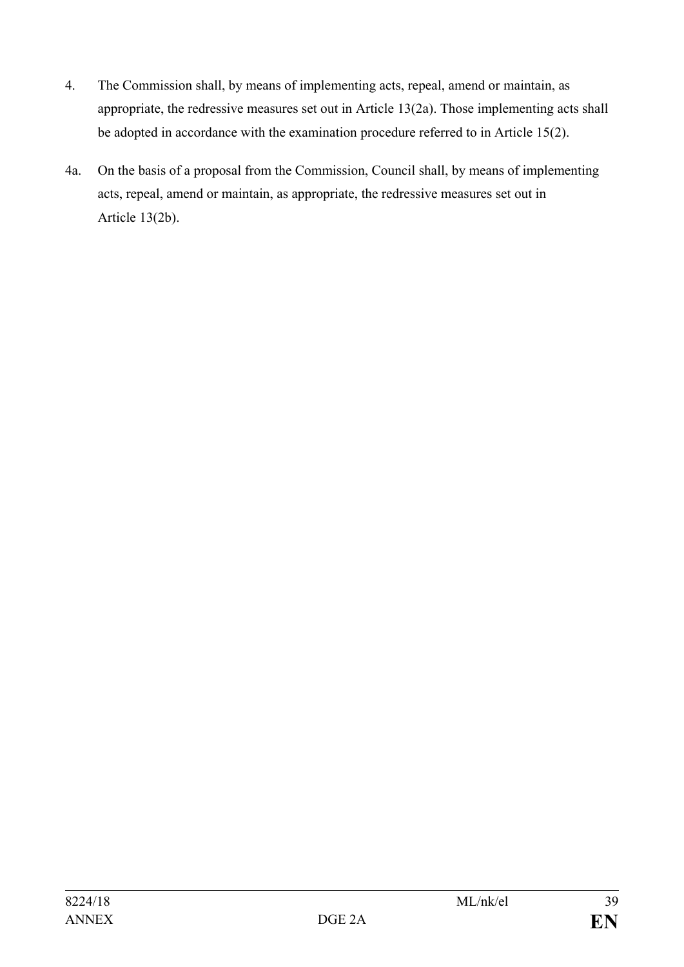- 4. The Commission shall, by means of implementing acts, repeal, amend or maintain, as appropriate, the redressive measures set out in Article 13(2a). Those implementing acts shall be adopted in accordance with the examination procedure referred to in Article 15(2).
- 4a. On the basis of a proposal from the Commission, Council shall, by means of implementing acts, repeal, amend or maintain, as appropriate, the redressive measures set out in Article 13(2b).